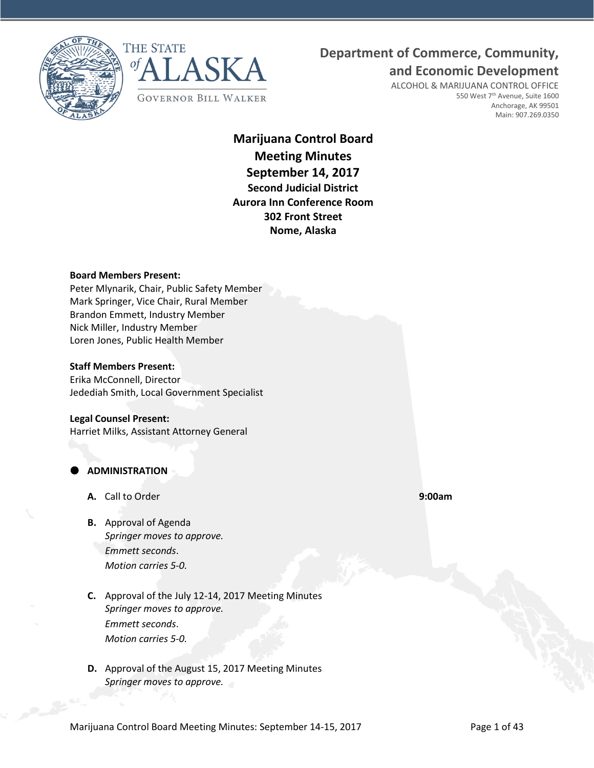



# **Department of Commerce, Community,**

**and Economic Development**

ALCOHOL & MARIJUANA CONTROL OFFICE 550 West 7<sup>th</sup> Avenue, Suite 1600 Anchorage, AK 99501 Main: 907.269.0350

# **Marijuana Control Board Meeting Minutes September 14, 2017 Second Judicial District Aurora Inn Conference Room 302 Front Street Nome, Alaska**

#### **Board Members Present:**

Peter Mlynarik, Chair, Public Safety Member Mark Springer, Vice Chair, Rural Member Brandon Emmett, Industry Member Nick Miller, Industry Member Loren Jones, Public Health Member

#### **Staff Members Present:**

Erika McConnell, Director Jedediah Smith, Local Government Specialist

#### **Legal Counsel Present:**

Harriet Milks, Assistant Attorney General

# **ADMINISTRATION**

- **A.** Call to Order **9:00am**
- **B.** Approval of Agenda *Springer moves to approve. Emmett seconds*. *Motion carries 5-0.*
- **C.** Approval of the July 12-14, 2017 Meeting Minutes *Springer moves to approve. Emmett seconds*. *Motion carries 5-0.*
- **D.** Approval of the August 15, 2017 Meeting Minutes *Springer moves to approve.*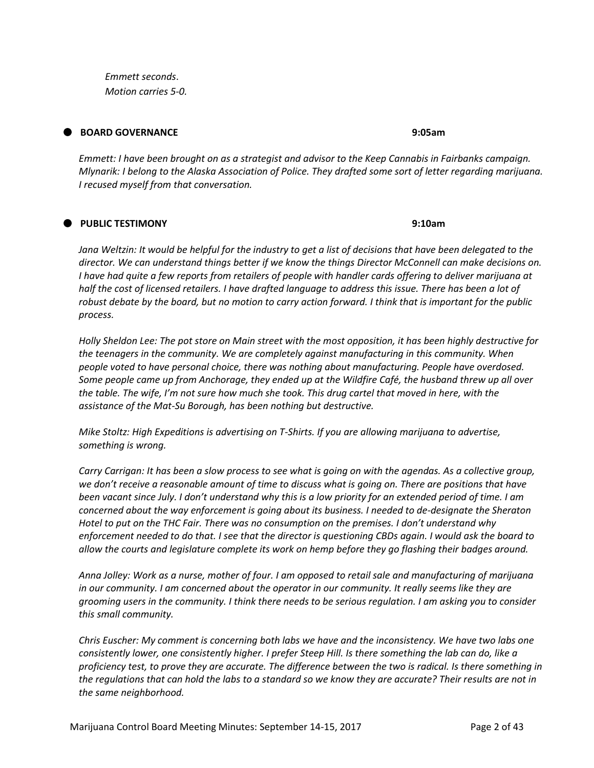*Emmett seconds*. *Motion carries 5-0.*

# **BOARD GOVERNANCE 9:05am**

*Emmett: I have been brought on as a strategist and advisor to the Keep Cannabis in Fairbanks campaign. Mlynarik: I belong to the Alaska Association of Police. They drafted some sort of letter regarding marijuana. I recused myself from that conversation.* 

# **PUBLIC TESTIMONY 9:10am**

*Jana Weltzin: It would be helpful for the industry to get a list of decisions that have been delegated to the director. We can understand things better if we know the things Director McConnell can make decisions on. I have had quite a few reports from retailers of people with handler cards offering to deliver marijuana at half the cost of licensed retailers. I have drafted language to address this issue. There has been a lot of robust debate by the board, but no motion to carry action forward. I think that is important for the public process.* 

*Holly Sheldon Lee: The pot store on Main street with the most opposition, it has been highly destructive for the teenagers in the community. We are completely against manufacturing in this community. When people voted to have personal choice, there was nothing about manufacturing. People have overdosed. Some people came up from Anchorage, they ended up at the Wildfire Café, the husband threw up all over the table. The wife, I'm not sure how much she took. This drug cartel that moved in here, with the assistance of the Mat-Su Borough, has been nothing but destructive.* 

*Mike Stoltz: High Expeditions is advertising on T-Shirts. If you are allowing marijuana to advertise, something is wrong.* 

*Carry Carrigan: It has been a slow process to see what is going on with the agendas. As a collective group, we don't receive a reasonable amount of time to discuss what is going on. There are positions that have been vacant since July. I don't understand why this is a low priority for an extended period of time. I am concerned about the way enforcement is going about its business. I needed to de-designate the Sheraton Hotel to put on the THC Fair. There was no consumption on the premises. I don't understand why enforcement needed to do that. I see that the director is questioning CBDs again. I would ask the board to allow the courts and legislature complete its work on hemp before they go flashing their badges around.* 

*Anna Jolley: Work as a nurse, mother of four. I am opposed to retail sale and manufacturing of marijuana in our community. I am concerned about the operator in our community. It really seems like they are grooming users in the community. I think there needs to be serious regulation. I am asking you to consider this small community.*

*Chris Euscher: My comment is concerning both labs we have and the inconsistency. We have two labs one consistently lower, one consistently higher. I prefer Steep Hill. Is there something the lab can do, like a proficiency test, to prove they are accurate. The difference between the two is radical. Is there something in the regulations that can hold the labs to a standard so we know they are accurate? Their results are not in the same neighborhood.*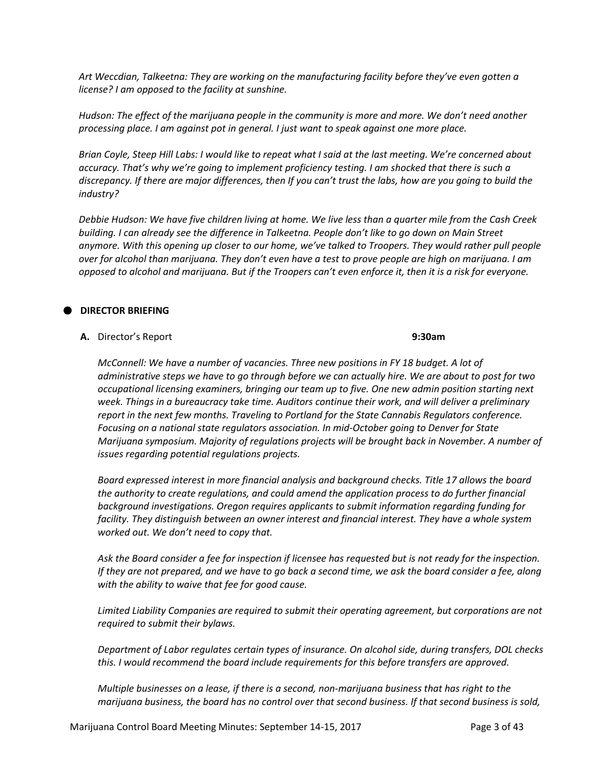*Art Weccdian, Talkeetna: They are working on the manufacturing facility before they've even gotten a license? I am opposed to the facility at sunshine.* 

*Hudson: The effect of the marijuana people in the community is more and more. We don't need another processing place. I am against pot in general. I just want to speak against one more place.*

*Brian Coyle, Steep Hill Labs: I would like to repeat what I said at the last meeting. We're concerned about accuracy. That's why we're going to implement proficiency testing. I am shocked that there is such a discrepancy. If there are major differences, then If you can't trust the labs, how are you going to build the industry?* 

*Debbie Hudson: We have five children living at home. We live less than a quarter mile from the Cash Creek building. I can already see the difference in Talkeetna. People don't like to go down on Main Street anymore. With this opening up closer to our home, we've talked to Troopers. They would rather pull people over for alcohol than marijuana. They don't even have a test to prove people are high on marijuana. I am opposed to alcohol and marijuana. But if the Troopers can't even enforce it, then it is a risk for everyone.* 

# **DIRECTOR BRIEFING**

**A.** Director's Report **9:30am**

*McConnell: We have a number of vacancies. Three new positions in FY 18 budget. A lot of administrative steps we have to go through before we can actually hire. We are about to post for two occupational licensing examiners, bringing our team up to five. One new admin position starting next week. Things in a bureaucracy take time. Auditors continue their work, and will deliver a preliminary report in the next few months. Traveling to Portland for the State Cannabis Regulators conference. Focusing on a national state regulators association. In mid-October going to Denver for State Marijuana symposium. Majority of regulations projects will be brought back in November. A number of issues regarding potential regulations projects.* 

*Board expressed interest in more financial analysis and background checks. Title 17 allows the board the authority to create regulations, and could amend the application process to do further financial background investigations. Oregon requires applicants to submit information regarding funding for facility. They distinguish between an owner interest and financial interest. They have a whole system worked out. We don't need to copy that.* 

*Ask the Board consider a fee for inspection if licensee has requested but is not ready for the inspection. If they are not prepared, and we have to go back a second time, we ask the board consider a fee, along with the ability to waive that fee for good cause.* 

*Limited Liability Companies are required to submit their operating agreement, but corporations are not required to submit their bylaws.* 

*Department of Labor regulates certain types of insurance. On alcohol side, during transfers, DOL checks this. I would recommend the board include requirements for this before transfers are approved.* 

*Multiple businesses on a lease, if there is a second, non-marijuana business that has right to the marijuana business, the board has no control over that second business. If that second business is sold,*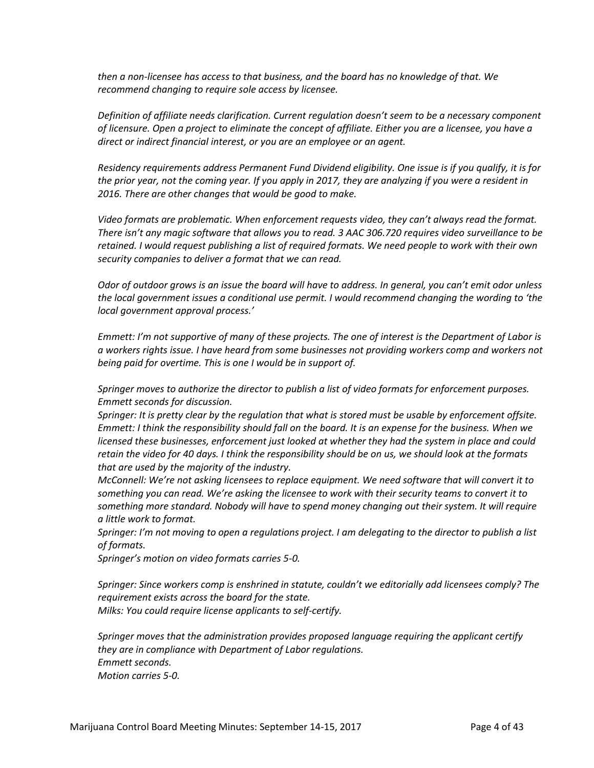*then a non-licensee has access to that business, and the board has no knowledge of that. We recommend changing to require sole access by licensee.* 

*Definition of affiliate needs clarification. Current regulation doesn't seem to be a necessary component of licensure. Open a project to eliminate the concept of affiliate. Either you are a licensee, you have a direct or indirect financial interest, or you are an employee or an agent.*

*Residency requirements address Permanent Fund Dividend eligibility. One issue is if you qualify, it is for the prior year, not the coming year. If you apply in 2017, they are analyzing if you were a resident in 2016. There are other changes that would be good to make.* 

*Video formats are problematic. When enforcement requests video, they can't always read the format. There isn't any magic software that allows you to read. 3 AAC 306.720 requires video surveillance to be retained. I would request publishing a list of required formats. We need people to work with their own security companies to deliver a format that we can read.*

*Odor of outdoor grows is an issue the board will have to address. In general, you can't emit odor unless the local government issues a conditional use permit. I would recommend changing the wording to 'the local government approval process.'* 

*Emmett: I'm not supportive of many of these projects. The one of interest is the Department of Labor is a workers rights issue. I have heard from some businesses not providing workers comp and workers not being paid for overtime. This is one I would be in support of.* 

*Springer moves to authorize the director to publish a list of video formats for enforcement purposes. Emmett seconds for discussion.*

*Springer: It is pretty clear by the regulation that what is stored must be usable by enforcement offsite. Emmett: I think the responsibility should fall on the board. It is an expense for the business. When we licensed these businesses, enforcement just looked at whether they had the system in place and could retain the video for 40 days. I think the responsibility should be on us, we should look at the formats that are used by the majority of the industry.* 

*McConnell: We're not asking licensees to replace equipment. We need software that will convert it to something you can read. We're asking the licensee to work with their security teams to convert it to something more standard. Nobody will have to spend money changing out their system. It will require a little work to format.*

*Springer: I'm not moving to open a regulations project. I am delegating to the director to publish a list of formats.* 

*Springer's motion on video formats carries 5-0.*

*Springer: Since workers comp is enshrined in statute, couldn't we editorially add licensees comply? The requirement exists across the board for the state. Milks: You could require license applicants to self-certify.*

*Springer moves that the administration provides proposed language requiring the applicant certify they are in compliance with Department of Labor regulations. Emmett seconds. Motion carries 5-0.*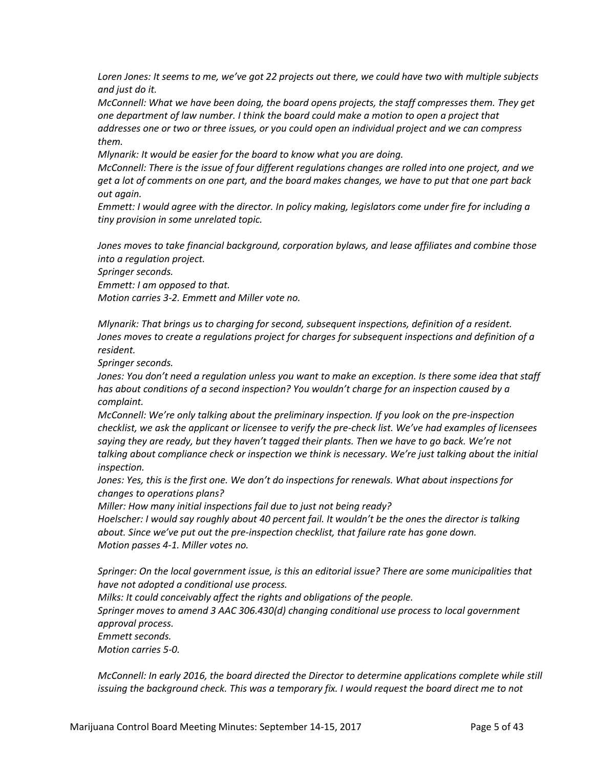*Loren Jones: It seems to me, we've got 22 projects out there, we could have two with multiple subjects and just do it.* 

*McConnell: What we have been doing, the board opens projects, the staff compresses them. They get one department of law number. I think the board could make a motion to open a project that addresses one or two or three issues, or you could open an individual project and we can compress them.* 

*Mlynarik: It would be easier for the board to know what you are doing.* 

*McConnell: There is the issue of four different regulations changes are rolled into one project, and we get a lot of comments on one part, and the board makes changes, we have to put that one part back out again.* 

*Emmett: I would agree with the director. In policy making, legislators come under fire for including a tiny provision in some unrelated topic.* 

*Jones moves to take financial background, corporation bylaws, and lease affiliates and combine those into a regulation project.* 

*Springer seconds.* 

*Emmett: I am opposed to that.* 

*Motion carries 3-2. Emmett and Miller vote no.* 

*Mlynarik: That brings us to charging for second, subsequent inspections, definition of a resident. Jones moves to create a regulations project for charges for subsequent inspections and definition of a resident.* 

*Springer seconds.*

*Jones: You don't need a regulation unless you want to make an exception. Is there some idea that staff has about conditions of a second inspection? You wouldn't charge for an inspection caused by a complaint.* 

*McConnell: We're only talking about the preliminary inspection. If you look on the pre-inspection checklist, we ask the applicant or licensee to verify the pre-check list. We've had examples of licensees saying they are ready, but they haven't tagged their plants. Then we have to go back. We're not talking about compliance check or inspection we think is necessary. We're just talking about the initial inspection.* 

*Jones: Yes, this is the first one. We don't do inspections for renewals. What about inspections for changes to operations plans?* 

*Miller: How many initial inspections fail due to just not being ready?* 

*Hoelscher: I would say roughly about 40 percent fail. It wouldn't be the ones the director is talking about. Since we've put out the pre-inspection checklist, that failure rate has gone down. Motion passes 4-1. Miller votes no.*

*Springer: On the local government issue, is this an editorial issue? There are some municipalities that have not adopted a conditional use process.*

*Milks: It could conceivably affect the rights and obligations of the people.*

*Springer moves to amend 3 AAC 306.430(d) changing conditional use process to local government approval process.* 

*Emmett seconds.* 

*Motion carries 5-0.*

*McConnell: In early 2016, the board directed the Director to determine applications complete while still issuing the background check. This was a temporary fix. I would request the board direct me to not*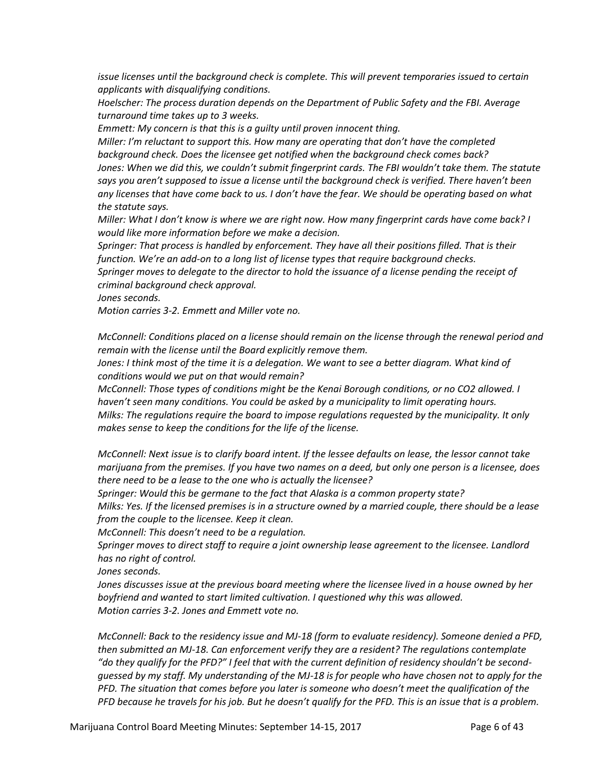*issue licenses until the background check is complete. This will prevent temporaries issued to certain applicants with disqualifying conditions.* 

*Hoelscher: The process duration depends on the Department of Public Safety and the FBI. Average turnaround time takes up to 3 weeks.* 

*Emmett: My concern is that this is a guilty until proven innocent thing.* 

*Miller: I'm reluctant to support this. How many are operating that don't have the completed background check. Does the licensee get notified when the background check comes back? Jones: When we did this, we couldn't submit fingerprint cards. The FBI wouldn't take them. The statute says you aren't supposed to issue a license until the background check is verified. There haven't been any licenses that have come back to us. I don't have the fear. We should be operating based on what the statute says.* 

*Miller: What I don't know is where we are right now. How many fingerprint cards have come back? I would like more information before we make a decision.* 

*Springer: That process is handled by enforcement. They have all their positions filled. That is their function. We're an add-on to a long list of license types that require background checks.* 

*Springer moves to delegate to the director to hold the issuance of a license pending the receipt of criminal background check approval.* 

*Jones seconds.* 

*Motion carries 3-2. Emmett and Miller vote no.*

*McConnell: Conditions placed on a license should remain on the license through the renewal period and remain with the license until the Board explicitly remove them.* 

Jones: I think most of the time it is a delegation. We want to see a better diagram. What kind of *conditions would we put on that would remain?* 

*McConnell: Those types of conditions might be the Kenai Borough conditions, or no CO2 allowed. I haven't seen many conditions. You could be asked by a municipality to limit operating hours. Milks: The regulations require the board to impose regulations requested by the municipality. It only makes sense to keep the conditions for the life of the license.*

*McConnell: Next issue is to clarify board intent. If the lessee defaults on lease, the lessor cannot take marijuana from the premises. If you have two names on a deed, but only one person is a licensee, does there need to be a lease to the one who is actually the licensee?* 

*Springer: Would this be germane to the fact that Alaska is a common property state?* 

*Milks: Yes. If the licensed premises is in a structure owned by a married couple, there should be a lease from the couple to the licensee. Keep it clean.*

*McConnell: This doesn't need to be a regulation.*

*Springer moves to direct staff to require a joint ownership lease agreement to the licensee. Landlord has no right of control.* 

*Jones seconds.*

*Jones discusses issue at the previous board meeting where the licensee lived in a house owned by her boyfriend and wanted to start limited cultivation. I questioned why this was allowed. Motion carries 3-2. Jones and Emmett vote no.* 

*McConnell: Back to the residency issue and MJ-18 (form to evaluate residency). Someone denied a PFD, then submitted an MJ-18. Can enforcement verify they are a resident? The regulations contemplate "do they qualify for the PFD?" I feel that with the current definition of residency shouldn't be secondguessed by my staff. My understanding of the MJ-18 is for people who have chosen not to apply for the PFD. The situation that comes before you later is someone who doesn't meet the qualification of the PFD because he travels for his job. But he doesn't qualify for the PFD. This is an issue that is a problem.*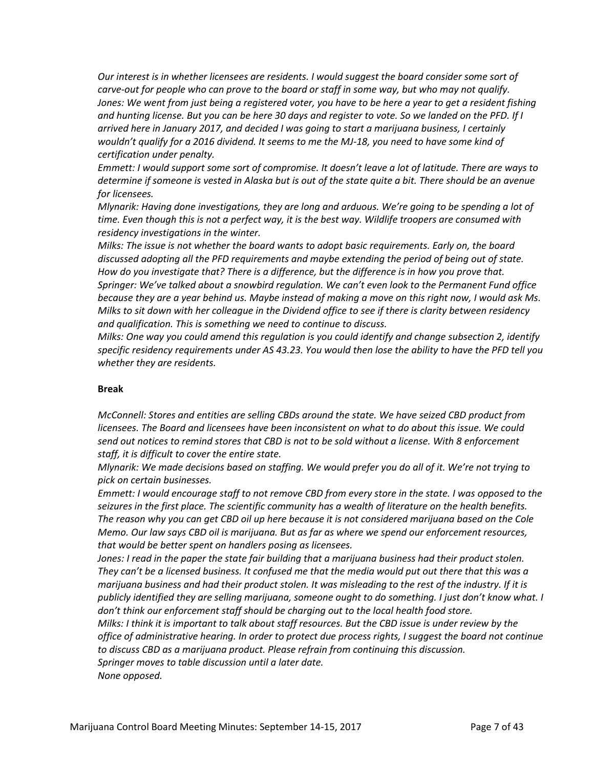*Our interest is in whether licensees are residents. I would suggest the board consider some sort of carve-out for people who can prove to the board or staff in some way, but who may not qualify. Jones: We went from just being a registered voter, you have to be here a year to get a resident fishing and hunting license. But you can be here 30 days and register to vote. So we landed on the PFD. If I arrived here in January 2017, and decided I was going to start a marijuana business, I certainly wouldn't qualify for a 2016 dividend. It seems to me the MJ-18, you need to have some kind of certification under penalty.* 

*Emmett: I would support some sort of compromise. It doesn't leave a lot of latitude. There are ways to determine if someone is vested in Alaska but is out of the state quite a bit. There should be an avenue for licensees.* 

*Mlynarik: Having done investigations, they are long and arduous. We're going to be spending a lot of time. Even though this is not a perfect way, it is the best way. Wildlife troopers are consumed with residency investigations in the winter.* 

*Milks: The issue is not whether the board wants to adopt basic requirements. Early on, the board discussed adopting all the PFD requirements and maybe extending the period of being out of state. How do you investigate that? There is a difference, but the difference is in how you prove that. Springer: We've talked about a snowbird regulation. We can't even look to the Permanent Fund office because they are a year behind us. Maybe instead of making a move on this right now, I would ask Ms. Milks to sit down with her colleague in the Dividend office to see if there is clarity between residency and qualification. This is something we need to continue to discuss.*

*Milks: One way you could amend this regulation is you could identify and change subsection 2, identify specific residency requirements under AS 43.23. You would then lose the ability to have the PFD tell you whether they are residents.* 

#### **Break**

*McConnell: Stores and entities are selling CBDs around the state. We have seized CBD product from licensees. The Board and licensees have been inconsistent on what to do about this issue. We could send out notices to remind stores that CBD is not to be sold without a license. With 8 enforcement staff, it is difficult to cover the entire state.* 

*Mlynarik: We made decisions based on staffing. We would prefer you do all of it. We're not trying to pick on certain businesses.* 

*Emmett: I would encourage staff to not remove CBD from every store in the state. I was opposed to the seizures in the first place. The scientific community has a wealth of literature on the health benefits. The reason why you can get CBD oil up here because it is not considered marijuana based on the Cole Memo. Our law says CBD oil is marijuana. But as far as where we spend our enforcement resources, that would be better spent on handlers posing as licensees.* 

*Jones: I read in the paper the state fair building that a marijuana business had their product stolen. They can't be a licensed business. It confused me that the media would put out there that this was a marijuana business and had their product stolen. It was misleading to the rest of the industry. If it is publicly identified they are selling marijuana, someone ought to do something. I just don't know what. I don't think our enforcement staff should be charging out to the local health food store.* 

*Milks: I think it is important to talk about staff resources. But the CBD issue is under review by the office of administrative hearing. In order to protect due process rights, I suggest the board not continue to discuss CBD as a marijuana product. Please refrain from continuing this discussion. Springer moves to table discussion until a later date.* 

*None opposed.*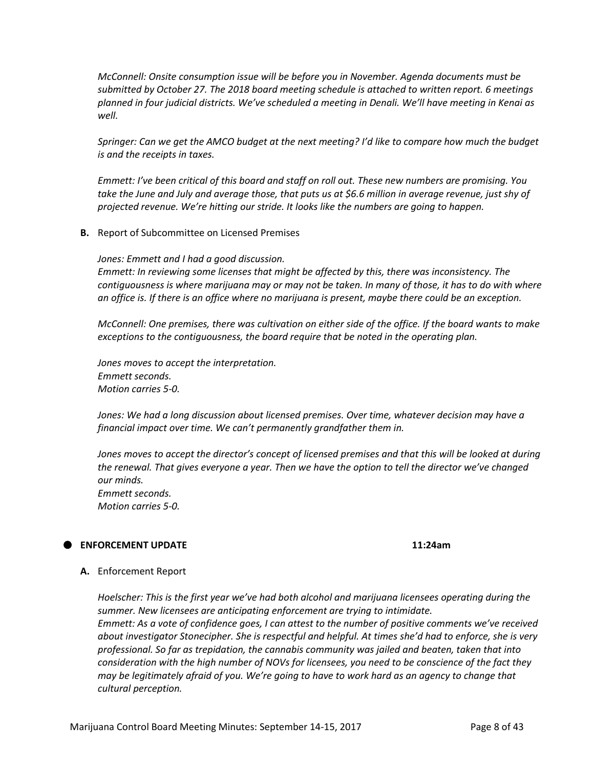*McConnell: Onsite consumption issue will be before you in November. Agenda documents must be submitted by October 27. The 2018 board meeting schedule is attached to written report. 6 meetings planned in four judicial districts. We've scheduled a meeting in Denali. We'll have meeting in Kenai as well.* 

*Springer: Can we get the AMCO budget at the next meeting? I'd like to compare how much the budget is and the receipts in taxes.* 

*Emmett: I've been critical of this board and staff on roll out. These new numbers are promising. You take the June and July and average those, that puts us at \$6.6 million in average revenue, just shy of projected revenue. We're hitting our stride. It looks like the numbers are going to happen.* 

**B.** Report of Subcommittee on Licensed Premises

*Jones: Emmett and I had a good discussion.* 

*Emmett: In reviewing some licenses that might be affected by this, there was inconsistency. The contiguousness is where marijuana may or may not be taken. In many of those, it has to do with where an office is. If there is an office where no marijuana is present, maybe there could be an exception.* 

*McConnell: One premises, there was cultivation on either side of the office. If the board wants to make exceptions to the contiguousness, the board require that be noted in the operating plan.* 

*Jones moves to accept the interpretation. Emmett seconds. Motion carries 5-0.*

*Jones: We had a long discussion about licensed premises. Over time, whatever decision may have a financial impact over time. We can't permanently grandfather them in.*

*Jones moves to accept the director's concept of licensed premises and that this will be looked at during the renewal. That gives everyone a year. Then we have the option to tell the director we've changed our minds. Emmett seconds. Motion carries 5-0.*

#### **ENFORCEMENT UPDATE 11:24am**

#### **A.** Enforcement Report

*Hoelscher: This is the first year we've had both alcohol and marijuana licensees operating during the summer. New licensees are anticipating enforcement are trying to intimidate. Emmett: As a vote of confidence goes, I can attest to the number of positive comments we've received about investigator Stonecipher. She is respectful and helpful. At times she'd had to enforce, she is very professional. So far as trepidation, the cannabis community was jailed and beaten, taken that into consideration with the high number of NOVs for licensees, you need to be conscience of the fact they may be legitimately afraid of you. We're going to have to work hard as an agency to change that cultural perception.*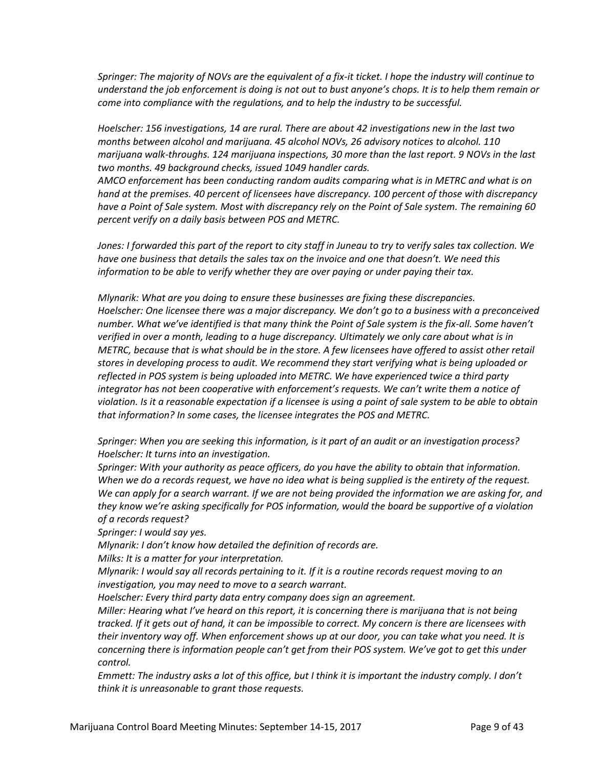*Springer: The majority of NOVs are the equivalent of a fix-it ticket. I hope the industry will continue to understand the job enforcement is doing is not out to bust anyone's chops. It is to help them remain or come into compliance with the regulations, and to help the industry to be successful.* 

*Hoelscher: 156 investigations, 14 are rural. There are about 42 investigations new in the last two months between alcohol and marijuana. 45 alcohol NOVs, 26 advisory notices to alcohol. 110 marijuana walk-throughs. 124 marijuana inspections, 30 more than the last report. 9 NOVs in the last two months. 49 background checks, issued 1049 handler cards.* 

*AMCO enforcement has been conducting random audits comparing what is in METRC and what is on hand at the premises. 40 percent of licensees have discrepancy. 100 percent of those with discrepancy have a Point of Sale system. Most with discrepancy rely on the Point of Sale system. The remaining 60 percent verify on a daily basis between POS and METRC.* 

*Jones: I forwarded this part of the report to city staff in Juneau to try to verify sales tax collection. We have one business that details the sales tax on the invoice and one that doesn't. We need this information to be able to verify whether they are over paying or under paying their tax.* 

*Mlynarik: What are you doing to ensure these businesses are fixing these discrepancies. Hoelscher: One licensee there was a major discrepancy. We don't go to a business with a preconceived number. What we've identified is that many think the Point of Sale system is the fix-all. Some haven't verified in over a month, leading to a huge discrepancy. Ultimately we only care about what is in METRC, because that is what should be in the store. A few licensees have offered to assist other retail stores in developing process to audit. We recommend they start verifying what is being uploaded or reflected in POS system is being uploaded into METRC. We have experienced twice a third party integrator has not been cooperative with enforcement's requests. We can't write them a notice of violation. Is it a reasonable expectation if a licensee is using a point of sale system to be able to obtain that information? In some cases, the licensee integrates the POS and METRC.*

*Springer: When you are seeking this information, is it part of an audit or an investigation process? Hoelscher: It turns into an investigation.* 

*Springer: With your authority as peace officers, do you have the ability to obtain that information. When we do a records request, we have no idea what is being supplied is the entirety of the request. We can apply for a search warrant. If we are not being provided the information we are asking for, and they know we're asking specifically for POS information, would the board be supportive of a violation of a records request?* 

*Springer: I would say yes.* 

*Mlynarik: I don't know how detailed the definition of records are.* 

*Milks: It is a matter for your interpretation.*

*Mlynarik: I would say all records pertaining to it. If it is a routine records request moving to an investigation, you may need to move to a search warrant.* 

*Hoelscher: Every third party data entry company does sign an agreement.*

*Miller: Hearing what I've heard on this report, it is concerning there is marijuana that is not being tracked. If it gets out of hand, it can be impossible to correct. My concern is there are licensees with their inventory way off. When enforcement shows up at our door, you can take what you need. It is concerning there is information people can't get from their POS system. We've got to get this under control.*

*Emmett: The industry asks a lot of this office, but I think it is important the industry comply. I don't think it is unreasonable to grant those requests.*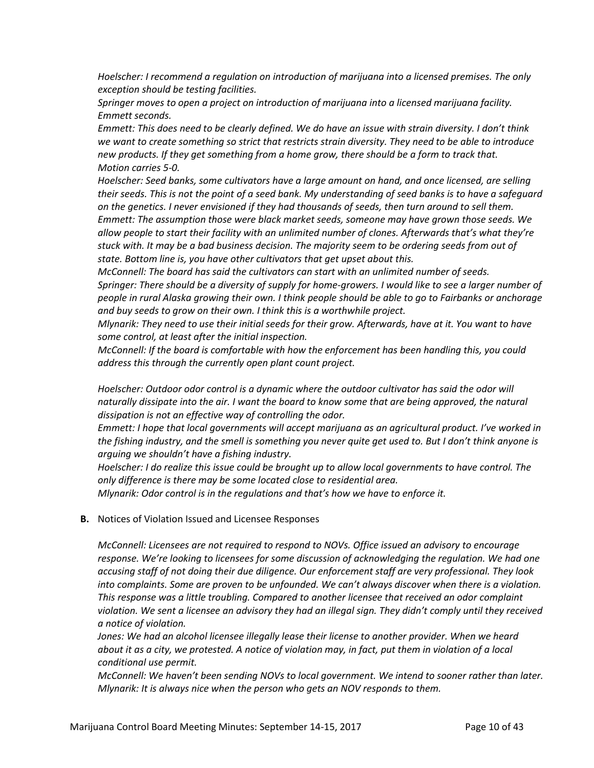*Hoelscher: I recommend a regulation on introduction of marijuana into a licensed premises. The only exception should be testing facilities.* 

*Springer moves to open a project on introduction of marijuana into a licensed marijuana facility. Emmett seconds.*

*Emmett: This does need to be clearly defined. We do have an issue with strain diversity. I don't think we want to create something so strict that restricts strain diversity. They need to be able to introduce new products. If they get something from a home grow, there should be a form to track that. Motion carries 5-0.*

*Hoelscher: Seed banks, some cultivators have a large amount on hand, and once licensed, are selling their seeds. This is not the point of a seed bank. My understanding of seed banks is to have a safeguard on the genetics. I never envisioned if they had thousands of seeds, then turn around to sell them. Emmett: The assumption those were black market seeds, someone may have grown those seeds. We allow people to start their facility with an unlimited number of clones. Afterwards that's what they're stuck with. It may be a bad business decision. The majority seem to be ordering seeds from out of state. Bottom line is, you have other cultivators that get upset about this.* 

*McConnell: The board has said the cultivators can start with an unlimited number of seeds. Springer: There should be a diversity of supply for home-growers. I would like to see a larger number of people in rural Alaska growing their own. I think people should be able to go to Fairbanks or anchorage and buy seeds to grow on their own. I think this is a worthwhile project.* 

*Mlynarik: They need to use their initial seeds for their grow. Afterwards, have at it. You want to have some control, at least after the initial inspection.*

*McConnell: If the board is comfortable with how the enforcement has been handling this, you could address this through the currently open plant count project.*

*Hoelscher: Outdoor odor control is a dynamic where the outdoor cultivator has said the odor will naturally dissipate into the air. I want the board to know some that are being approved, the natural dissipation is not an effective way of controlling the odor.*

*Emmett: I hope that local governments will accept marijuana as an agricultural product. I've worked in the fishing industry, and the smell is something you never quite get used to. But I don't think anyone is arguing we shouldn't have a fishing industry.*

*Hoelscher: I do realize this issue could be brought up to allow local governments to have control. The only difference is there may be some located close to residential area.*

*Mlynarik: Odor control is in the regulations and that's how we have to enforce it.* 

#### **B.** Notices of Violation Issued and Licensee Responses

*McConnell: Licensees are not required to respond to NOVs. Office issued an advisory to encourage response. We're looking to licensees for some discussion of acknowledging the regulation. We had one accusing staff of not doing their due diligence. Our enforcement staff are very professional. They look into complaints. Some are proven to be unfounded. We can't always discover when there is a violation. This response was a little troubling. Compared to another licensee that received an odor complaint violation. We sent a licensee an advisory they had an illegal sign. They didn't comply until they received a notice of violation.* 

*Jones: We had an alcohol licensee illegally lease their license to another provider. When we heard about it as a city, we protested. A notice of violation may, in fact, put them in violation of a local conditional use permit.* 

*McConnell: We haven't been sending NOVs to local government. We intend to sooner rather than later. Mlynarik: It is always nice when the person who gets an NOV responds to them.*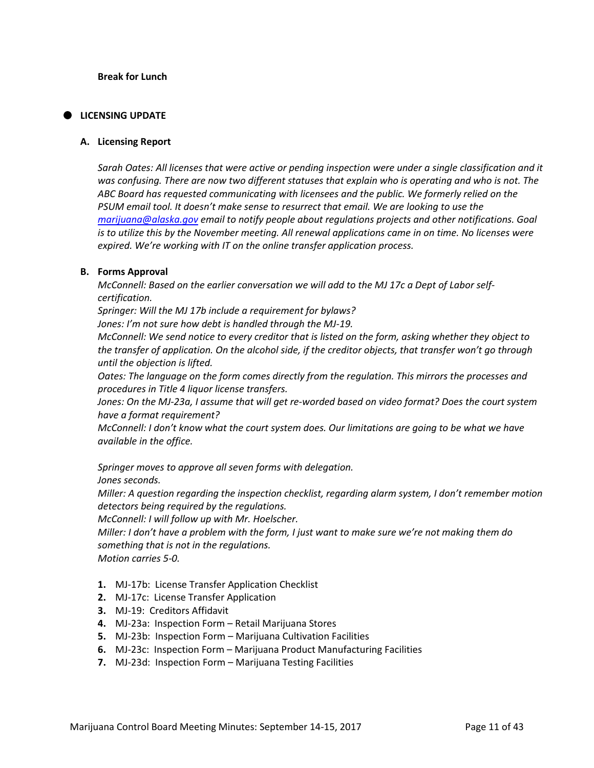# **LICENSING UPDATE**

#### **A. Licensing Report**

*Sarah Oates: All licenses that were active or pending inspection were under a single classification and it was confusing. There are now two different statuses that explain who is operating and who is not. The ABC Board has requested communicating with licensees and the public. We formerly relied on the PSUM email tool. It doesn't make sense to resurrect that email. We are looking to use the [marijuana@alaska.gov](mailto:marijuana@alaska.gov) email to notify people about regulations projects and other notifications. Goal is to utilize this by the November meeting. All renewal applications came in on time. No licenses were expired. We're working with IT on the online transfer application process.* 

## **B. Forms Approval**

*McConnell: Based on the earlier conversation we will add to the MJ 17c a Dept of Labor selfcertification.*

*Springer: Will the MJ 17b include a requirement for bylaws?*

*Jones: I'm not sure how debt is handled through the MJ-19.*

*McConnell: We send notice to every creditor that is listed on the form, asking whether they object to the transfer of application. On the alcohol side, if the creditor objects, that transfer won't go through until the objection is lifted.* 

*Oates: The language on the form comes directly from the regulation. This mirrors the processes and procedures in Title 4 liquor license transfers.* 

*Jones: On the MJ-23a, I assume that will get re-worded based on video format? Does the court system have a format requirement?* 

*McConnell: I don't know what the court system does. Our limitations are going to be what we have available in the office.* 

*Springer moves to approve all seven forms with delegation.* 

*Jones seconds.* 

*Miller: A question regarding the inspection checklist, regarding alarm system, I don't remember motion detectors being required by the regulations.* 

*McConnell: I will follow up with Mr. Hoelscher.*

*Miller: I don't have a problem with the form, I just want to make sure we're not making them do something that is not in the regulations.* 

*Motion carries 5-0.*

- **1.** MJ-17b: License Transfer Application Checklist
- **2.** MJ-17c: License Transfer Application
- **3.** MJ-19: Creditors Affidavit
- **4.** MJ-23a: Inspection Form Retail Marijuana Stores
- **5.** MJ-23b: Inspection Form Marijuana Cultivation Facilities
- **6.** MJ-23c: Inspection Form Marijuana Product Manufacturing Facilities
- **7.** MJ-23d: Inspection Form Marijuana Testing Facilities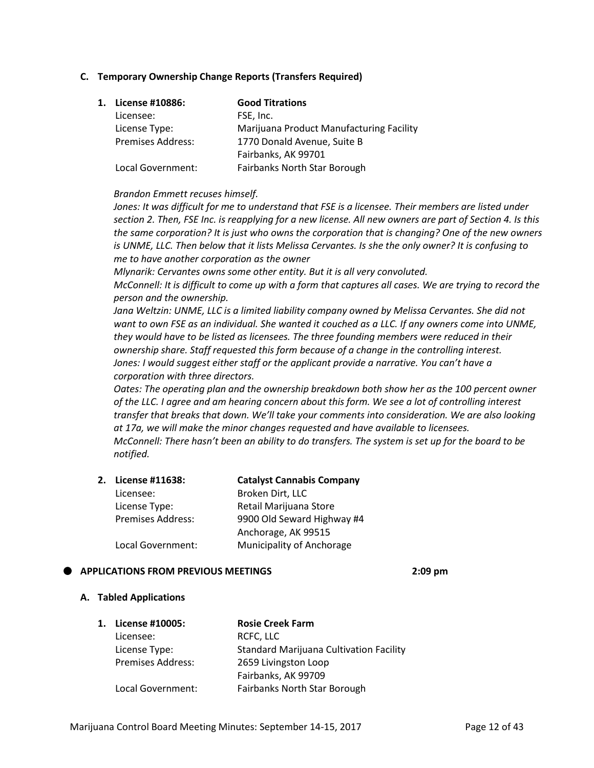# **C. Temporary Ownership Change Reports (Transfers Required)**

| 1. License #10886:       | <b>Good Titrations</b>                   |
|--------------------------|------------------------------------------|
| Licensee:                | FSE, Inc.                                |
| License Type:            | Marijuana Product Manufacturing Facility |
| <b>Premises Address:</b> | 1770 Donald Avenue, Suite B              |
|                          | Fairbanks, AK 99701                      |
| Local Government:        | Fairbanks North Star Borough             |

## *Brandon Emmett recuses himself.*

*Jones: It was difficult for me to understand that FSE is a licensee. Their members are listed under section 2. Then, FSE Inc. is reapplying for a new license. All new owners are part of Section 4. Is this the same corporation? It is just who owns the corporation that is changing? One of the new owners is UNME, LLC. Then below that it lists Melissa Cervantes. Is she the only owner? It is confusing to me to have another corporation as the owner* 

*Mlynarik: Cervantes owns some other entity. But it is all very convoluted. McConnell: It is difficult to come up with a form that captures all cases. We are trying to record the person and the ownership.* 

*Jana Weltzin: UNME, LLC is a limited liability company owned by Melissa Cervantes. She did not want to own FSE as an individual. She wanted it couched as a LLC. If any owners come into UNME, they would have to be listed as licensees. The three founding members were reduced in their ownership share. Staff requested this form because of a change in the controlling interest. Jones: I would suggest either staff or the applicant provide a narrative. You can't have a corporation with three directors.*

*Oates: The operating plan and the ownership breakdown both show her as the 100 percent owner of the LLC. I agree and am hearing concern about this form. We see a lot of controlling interest transfer that breaks that down. We'll take your comments into consideration. We are also looking at 17a, we will make the minor changes requested and have available to licensees. McConnell: There hasn't been an ability to do transfers. The system is set up for the board to be notified.* 

| 2. License #11638:       | <b>Catalyst Cannabis Company</b> |
|--------------------------|----------------------------------|
| Licensee:                | Broken Dirt, LLC                 |
| License Type:            | Retail Marijuana Store           |
| <b>Premises Address:</b> | 9900 Old Seward Highway #4       |
|                          | Anchorage, AK 99515              |
| Local Government:        | Municipality of Anchorage        |

# **APPLICATIONS FROM PREVIOUS MEETINGS 2:09 pm**

#### **A. Tabled Applications**

| 1. | License #10005:          | <b>Rosie Creek Farm</b>                        |
|----|--------------------------|------------------------------------------------|
|    | Licensee:                | RCFC, LLC                                      |
|    | License Type:            | <b>Standard Marijuana Cultivation Facility</b> |
|    | <b>Premises Address:</b> | 2659 Livingston Loop                           |
|    |                          | Fairbanks, AK 99709                            |
|    | Local Government:        | <b>Fairbanks North Star Borough</b>            |
|    |                          |                                                |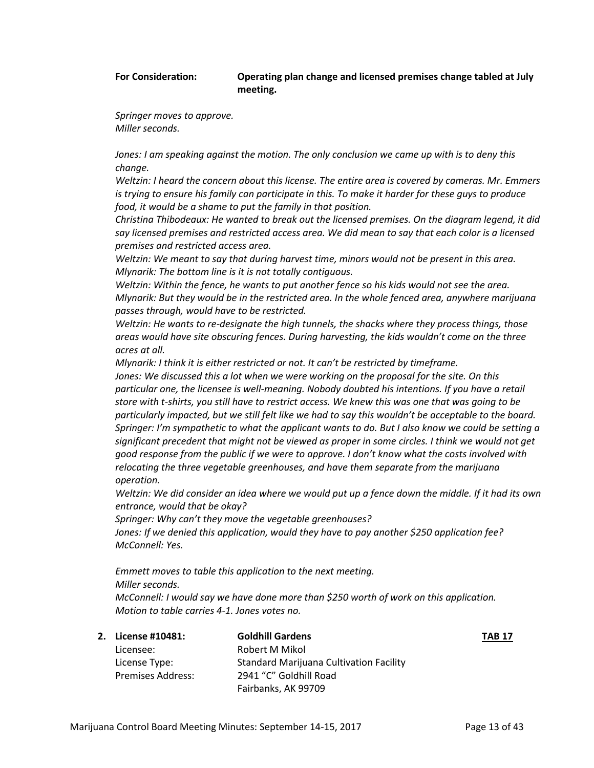#### **For Consideration: Operating plan change and licensed premises change tabled at July meeting.**

*Springer moves to approve. Miller seconds.* 

Jones: I am speaking against the motion. The only conclusion we came up with is to deny this *change.* 

*Weltzin: I heard the concern about this license. The entire area is covered by cameras. Mr. Emmers is trying to ensure his family can participate in this. To make it harder for these guys to produce food, it would be a shame to put the family in that position.* 

*Christina Thibodeaux: He wanted to break out the licensed premises. On the diagram legend, it did say licensed premises and restricted access area. We did mean to say that each color is a licensed premises and restricted access area.* 

*Weltzin: We meant to say that during harvest time, minors would not be present in this area. Mlynarik: The bottom line is it is not totally contiguous.*

*Weltzin: Within the fence, he wants to put another fence so his kids would not see the area. Mlynarik: But they would be in the restricted area. In the whole fenced area, anywhere marijuana passes through, would have to be restricted.*

*Weltzin: He wants to re-designate the high tunnels, the shacks where they process things, those areas would have site obscuring fences. During harvesting, the kids wouldn't come on the three acres at all.* 

*Mlynarik: I think it is either restricted or not. It can't be restricted by timeframe.* 

*Jones: We discussed this a lot when we were working on the proposal for the site. On this particular one, the licensee is well-meaning. Nobody doubted his intentions. If you have a retail store with t-shirts, you still have to restrict access. We knew this was one that was going to be particularly impacted, but we still felt like we had to say this wouldn't be acceptable to the board. Springer: I'm sympathetic to what the applicant wants to do. But I also know we could be setting a significant precedent that might not be viewed as proper in some circles. I think we would not get good response from the public if we were to approve. I don't know what the costs involved with relocating the three vegetable greenhouses, and have them separate from the marijuana operation.* 

*Weltzin: We did consider an idea where we would put up a fence down the middle. If it had its own entrance, would that be okay?* 

*Springer: Why can't they move the vegetable greenhouses?* 

*Jones: If we denied this application, would they have to pay another \$250 application fee? McConnell: Yes.*

*Emmett moves to table this application to the next meeting. Miller seconds. McConnell: I would say we have done more than \$250 worth of work on this application.* 

*Motion to table carries 4-1. Jones votes no.*

| 2. License #10481:       | <b>Goldhill Gardens</b>                        | <b>TAB 17</b> |
|--------------------------|------------------------------------------------|---------------|
| Licensee:                | Robert M Mikol                                 |               |
| License Type:            | <b>Standard Marijuana Cultivation Facility</b> |               |
| <b>Premises Address:</b> | 2941 "C" Goldhill Road                         |               |
|                          | Fairbanks, AK 99709                            |               |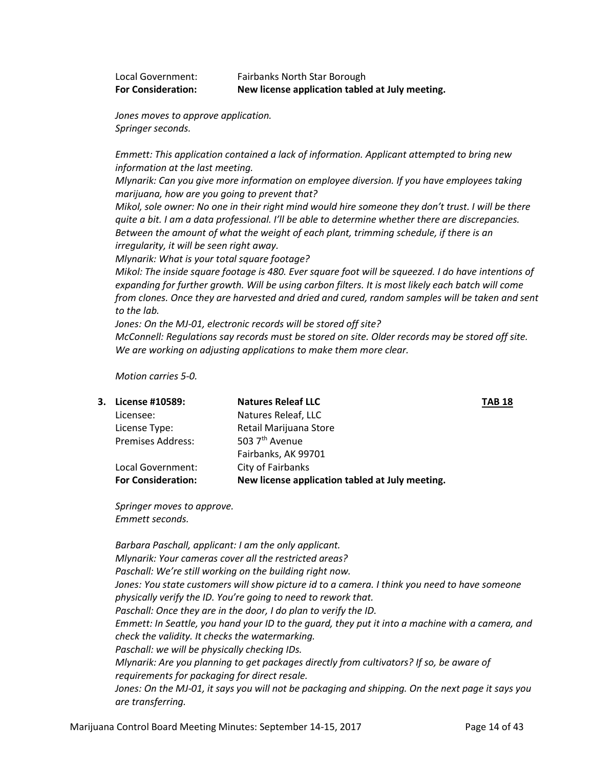| Local Government:         | Fairbanks North Star Borough                    |
|---------------------------|-------------------------------------------------|
| <b>For Consideration:</b> | New license application tabled at July meeting. |

*Jones moves to approve application. Springer seconds.*

*Emmett: This application contained a lack of information. Applicant attempted to bring new information at the last meeting.* 

*Mlynarik: Can you give more information on employee diversion. If you have employees taking marijuana, how are you going to prevent that?*

*Mikol, sole owner: No one in their right mind would hire someone they don't trust. I will be there quite a bit. I am a data professional. I'll be able to determine whether there are discrepancies. Between the amount of what the weight of each plant, trimming schedule, if there is an irregularity, it will be seen right away.*

*Mlynarik: What is your total square footage?* 

*Mikol: The inside square footage is 480. Ever square foot will be squeezed. I do have intentions of expanding for further growth. Will be using carbon filters. It is most likely each batch will come from clones. Once they are harvested and dried and cured, random samples will be taken and sent to the lab.* 

*Jones: On the MJ-01, electronic records will be stored off site?* 

*McConnell: Regulations say records must be stored on site. Older records may be stored off site. We are working on adjusting applications to make them more clear.* 

*Motion carries 5-0.*

| 3. License #10589:        | <b>Natures Releaf LLC</b>                       | <b>TAB 18</b> |
|---------------------------|-------------------------------------------------|---------------|
| Licensee:                 | Natures Releaf, LLC                             |               |
| License Type:             | Retail Marijuana Store                          |               |
| <b>Premises Address:</b>  | 503 7 <sup>th</sup> Avenue                      |               |
|                           | Fairbanks, AK 99701                             |               |
| Local Government:         | City of Fairbanks                               |               |
| <b>For Consideration:</b> | New license application tabled at July meeting. |               |
|                           |                                                 |               |

*Springer moves to approve. Emmett seconds.*

*Barbara Paschall, applicant: I am the only applicant. Mlynarik: Your cameras cover all the restricted areas? Paschall: We're still working on the building right now. Jones: You state customers will show picture id to a camera. I think you need to have someone physically verify the ID. You're going to need to rework that. Paschall: Once they are in the door, I do plan to verify the ID. Emmett: In Seattle, you hand your ID to the guard, they put it into a machine with a camera, and check the validity. It checks the watermarking. Paschall: we will be physically checking IDs. Mlynarik: Are you planning to get packages directly from cultivators? If so, be aware of requirements for packaging for direct resale. Jones: On the MJ-01, it says you will not be packaging and shipping. On the next page it says you are transferring.*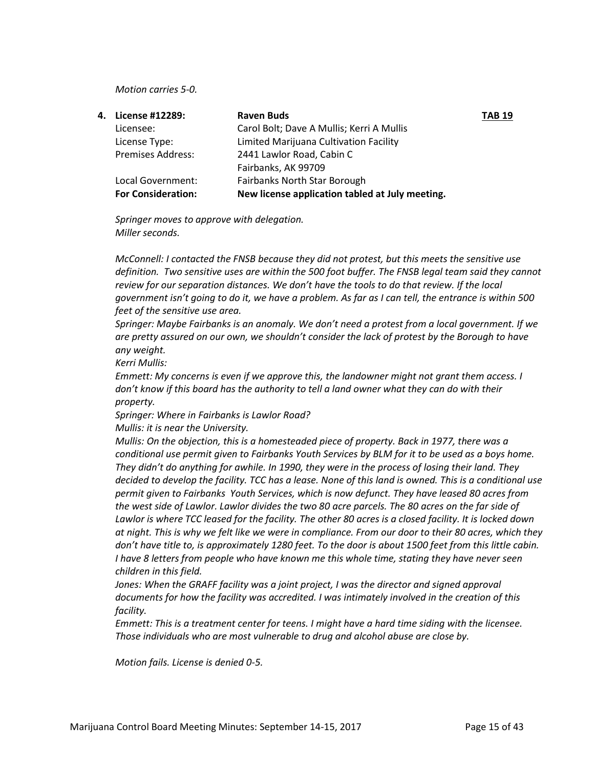#### *Motion carries 5-0.*

|                           | <b>Raven Buds</b>                               | <b>TAB 19</b> |
|---------------------------|-------------------------------------------------|---------------|
| Licensee:                 | Carol Bolt; Dave A Mullis; Kerri A Mullis       |               |
| License Type:             | Limited Marijuana Cultivation Facility          |               |
| <b>Premises Address:</b>  | 2441 Lawlor Road, Cabin C                       |               |
|                           | Fairbanks, AK 99709                             |               |
| Local Government:         | <b>Fairbanks North Star Borough</b>             |               |
| <b>For Consideration:</b> | New license application tabled at July meeting. |               |
|                           | 4. License #12289:                              |               |

*Springer moves to approve with delegation. Miller seconds.* 

*McConnell: I contacted the FNSB because they did not protest, but this meets the sensitive use definition. Two sensitive uses are within the 500 foot buffer. The FNSB legal team said they cannot review for our separation distances. We don't have the tools to do that review. If the local government isn't going to do it, we have a problem. As far as I can tell, the entrance is within 500 feet of the sensitive use area.* 

*Springer: Maybe Fairbanks is an anomaly. We don't need a protest from a local government. If we are pretty assured on our own, we shouldn't consider the lack of protest by the Borough to have any weight.* 

*Kerri Mullis:* 

*Emmett: My concerns is even if we approve this, the landowner might not grant them access. I don't know if this board has the authority to tell a land owner what they can do with their property.* 

*Springer: Where in Fairbanks is Lawlor Road?* 

*Mullis: it is near the University.* 

*Mullis: On the objection, this is a homesteaded piece of property. Back in 1977, there was a conditional use permit given to Fairbanks Youth Services by BLM for it to be used as a boys home. They didn't do anything for awhile. In 1990, they were in the process of losing their land. They decided to develop the facility. TCC has a lease. None of this land is owned. This is a conditional use permit given to Fairbanks Youth Services, which is now defunct. They have leased 80 acres from the west side of Lawlor. Lawlor divides the two 80 acre parcels. The 80 acres on the far side of Lawlor is where TCC leased for the facility. The other 80 acres is a closed facility. It is locked down at night. This is why we felt like we were in compliance. From our door to their 80 acres, which they don't have title to, is approximately 1280 feet. To the door is about 1500 feet from this little cabin. I have 8 letters from people who have known me this whole time, stating they have never seen children in this field.* 

*Jones: When the GRAFF facility was a joint project, I was the director and signed approval documents for how the facility was accredited. I was intimately involved in the creation of this facility.*

*Emmett: This is a treatment center for teens. I might have a hard time siding with the licensee. Those individuals who are most vulnerable to drug and alcohol abuse are close by.*

*Motion fails. License is denied 0-5.*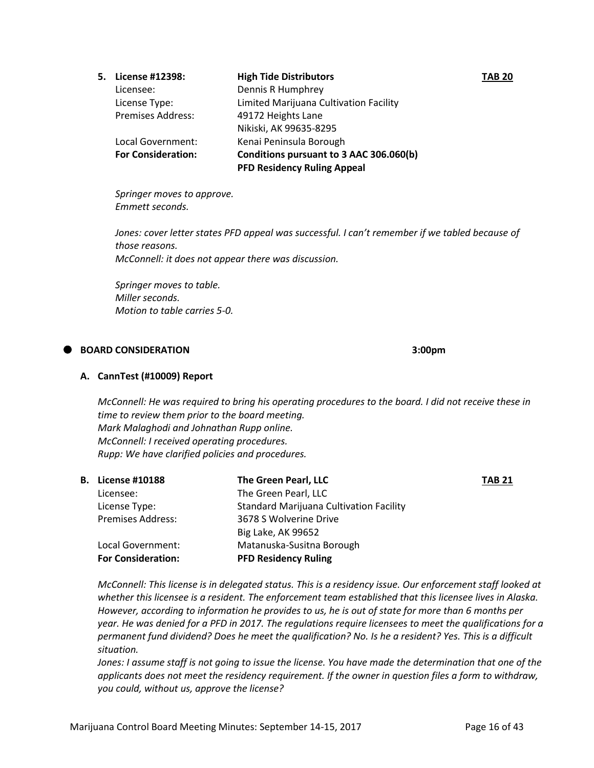| 5. License #12398:        | <b>High Tide Distributors</b>           | <b>TAB 20</b> |
|---------------------------|-----------------------------------------|---------------|
| Licensee:                 | Dennis R Humphrey                       |               |
| License Type:             | Limited Marijuana Cultivation Facility  |               |
| <b>Premises Address:</b>  | 49172 Heights Lane                      |               |
|                           | Nikiski, AK 99635-8295                  |               |
| Local Government:         | Kenai Peninsula Borough                 |               |
| <b>For Consideration:</b> | Conditions pursuant to 3 AAC 306.060(b) |               |
|                           | <b>PFD Residency Ruling Appeal</b>      |               |
|                           |                                         |               |

*Springer moves to approve. Emmett seconds.*

*Jones: cover letter states PFD appeal was successful. I can't remember if we tabled because of those reasons. McConnell: it does not appear there was discussion.*

*Springer moves to table. Miller seconds. Motion to table carries 5-0.*

# **BOARD CONSIDERATION 3:00pm**

# **A. CannTest (#10009) Report**

*McConnell: He was required to bring his operating procedures to the board. I did not receive these in time to review them prior to the board meeting. Mark Malaghodi and Johnathan Rupp online. McConnell: I received operating procedures. Rupp: We have clarified policies and procedures.* 

|                           | The Green Pearl, LLC                           | <b>TAB 21</b> |
|---------------------------|------------------------------------------------|---------------|
| Licensee:                 | The Green Pearl, LLC                           |               |
| License Type:             | <b>Standard Marijuana Cultivation Facility</b> |               |
| <b>Premises Address:</b>  | 3678 S Wolverine Drive                         |               |
|                           | Big Lake, AK 99652                             |               |
| Local Government:         | Matanuska-Susitna Borough                      |               |
| <b>For Consideration:</b> | <b>PFD Residency Ruling</b>                    |               |
|                           | <b>B.</b> License #10188                       |               |

*McConnell: This license is in delegated status. This is a residency issue. Our enforcement staff looked at whether this licensee is a resident. The enforcement team established that this licensee lives in Alaska. However, according to information he provides to us, he is out of state for more than 6 months per year. He was denied for a PFD in 2017. The regulations require licensees to meet the qualifications for a permanent fund dividend? Does he meet the qualification? No. Is he a resident? Yes. This is a difficult situation.* 

*Jones: I assume staff is not going to issue the license. You have made the determination that one of the applicants does not meet the residency requirement. If the owner in question files a form to withdraw, you could, without us, approve the license?*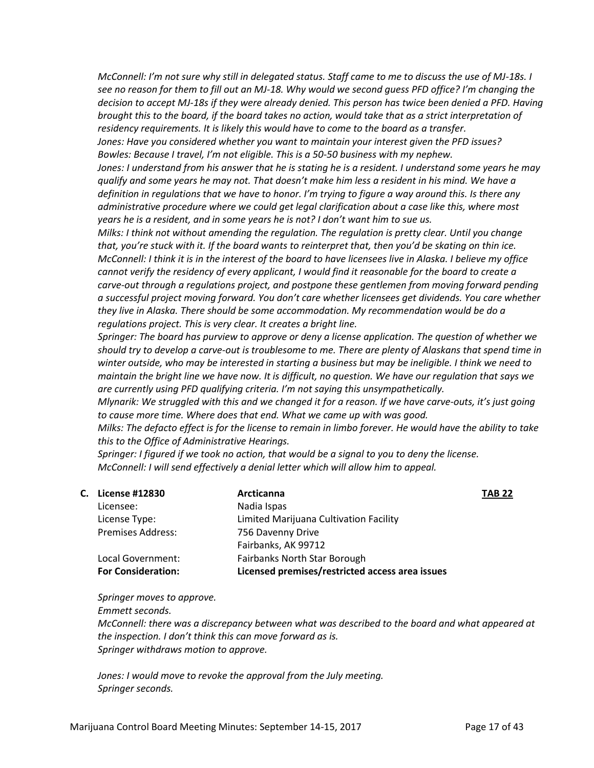*McConnell: I'm not sure why still in delegated status. Staff came to me to discuss the use of MJ-18s. I see no reason for them to fill out an MJ-18. Why would we second guess PFD office? I'm changing the decision to accept MJ-18s if they were already denied. This person has twice been denied a PFD. Having brought this to the board, if the board takes no action, would take that as a strict interpretation of residency requirements. It is likely this would have to come to the board as a transfer.* 

*Jones: Have you considered whether you want to maintain your interest given the PFD issues? Bowles: Because I travel, I'm not eligible. This is a 50-50 business with my nephew.*

*Jones: I understand from his answer that he is stating he is a resident. I understand some years he may qualify and some years he may not. That doesn't make him less a resident in his mind. We have a definition in regulations that we have to honor. I'm trying to figure a way around this. Is there any administrative procedure where we could get legal clarification about a case like this, where most years he is a resident, and in some years he is not? I don't want him to sue us.* 

*Milks: I think not without amending the regulation. The regulation is pretty clear. Until you change that, you're stuck with it. If the board wants to reinterpret that, then you'd be skating on thin ice. McConnell: I think it is in the interest of the board to have licensees live in Alaska. I believe my office cannot verify the residency of every applicant, I would find it reasonable for the board to create a carve-out through a regulations project, and postpone these gentlemen from moving forward pending a successful project moving forward. You don't care whether licensees get dividends. You care whether they live in Alaska. There should be some accommodation. My recommendation would be do a regulations project. This is very clear. It creates a bright line.*

*Springer: The board has purview to approve or deny a license application. The question of whether we should try to develop a carve-out is troublesome to me. There are plenty of Alaskans that spend time in winter outside, who may be interested in starting a business but may be ineligible. I think we need to maintain the bright line we have now. It is difficult, no question. We have our regulation that says we are currently using PFD qualifying criteria. I'm not saying this unsympathetically.* 

*Mlynarik: We struggled with this and we changed it for a reason. If we have carve-outs, it's just going to cause more time. Where does that end. What we came up with was good.*

*Milks: The defacto effect is for the license to remain in limbo forever. He would have the ability to take this to the Office of Administrative Hearings.* 

*Springer: I figured if we took no action, that would be a signal to you to deny the license. McConnell: I will send effectively a denial letter which will allow him to appeal.*

| С. | <b>License #12830</b>     | Arcticanna                                      | <b>TAB 22</b> |
|----|---------------------------|-------------------------------------------------|---------------|
|    | Licensee:                 | Nadia Ispas                                     |               |
|    | License Type:             | Limited Marijuana Cultivation Facility          |               |
|    | <b>Premises Address:</b>  | 756 Davenny Drive                               |               |
|    |                           | Fairbanks, AK 99712                             |               |
|    | Local Government:         | Fairbanks North Star Borough                    |               |
|    | <b>For Consideration:</b> | Licensed premises/restricted access area issues |               |

*Springer moves to approve.* 

*Emmett seconds.* 

*McConnell: there was a discrepancy between what was described to the board and what appeared at the inspection. I don't think this can move forward as is. Springer withdraws motion to approve.* 

*Jones: I would move to revoke the approval from the July meeting. Springer seconds.*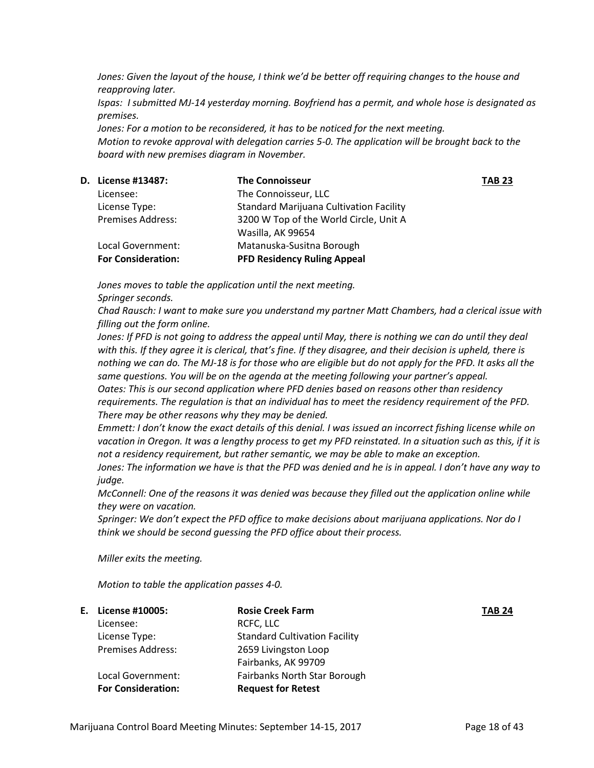*Jones: Given the layout of the house, I think we'd be better off requiring changes to the house and reapproving later.*

*Ispas: I submitted MJ-14 yesterday morning. Boyfriend has a permit, and whole hose is designated as premises.*

*Jones: For a motion to be reconsidered, it has to be noticed for the next meeting. Motion to revoke approval with delegation carries 5-0. The application will be brought back to the board with new premises diagram in November.* 

| <b>D.</b> License #13487: | <b>The Connoisseur</b>                         | <b>TAB 23</b> |
|---------------------------|------------------------------------------------|---------------|
| Licensee:                 | The Connoisseur, LLC                           |               |
| License Type:             | <b>Standard Marijuana Cultivation Facility</b> |               |
| <b>Premises Address:</b>  | 3200 W Top of the World Circle, Unit A         |               |
|                           | Wasilla, AK 99654                              |               |
| Local Government:         | Matanuska-Susitna Borough                      |               |
| <b>For Consideration:</b> | <b>PFD Residency Ruling Appeal</b>             |               |
|                           |                                                |               |

*Jones moves to table the application until the next meeting.* 

*Springer seconds.* 

*Chad Rausch: I want to make sure you understand my partner Matt Chambers, had a clerical issue with filling out the form online.* 

*Jones: If PFD is not going to address the appeal until May, there is nothing we can do until they deal with this. If they agree it is clerical, that's fine. If they disagree, and their decision is upheld, there is nothing we can do. The MJ-18 is for those who are eligible but do not apply for the PFD. It asks all the same questions. You will be on the agenda at the meeting following your partner's appeal. Oates: This is our second application where PFD denies based on reasons other than residency requirements. The regulation is that an individual has to meet the residency requirement of the PFD. There may be other reasons why they may be denied.* 

*Emmett: I don't know the exact details of this denial. I was issued an incorrect fishing license while on vacation in Oregon. It was a lengthy process to get my PFD reinstated. In a situation such as this, if it is not a residency requirement, but rather semantic, we may be able to make an exception.* 

*Jones: The information we have is that the PFD was denied and he is in appeal. I don't have any way to judge.* 

*McConnell: One of the reasons it was denied was because they filled out the application online while they were on vacation.* 

*Springer: We don't expect the PFD office to make decisions about marijuana applications. Nor do I think we should be second guessing the PFD office about their process.* 

*Miller exits the meeting.*

*Motion to table the application passes 4-0.*

| E. License #10005:        | <b>Rosie Creek Farm</b>              | <b>TAB 24</b> |
|---------------------------|--------------------------------------|---------------|
| Licensee:                 | RCFC, LLC                            |               |
| License Type:             | <b>Standard Cultivation Facility</b> |               |
| <b>Premises Address:</b>  | 2659 Livingston Loop                 |               |
|                           | Fairbanks, AK 99709                  |               |
| Local Government:         | <b>Fairbanks North Star Borough</b>  |               |
| <b>For Consideration:</b> | <b>Request for Retest</b>            |               |
|                           |                                      |               |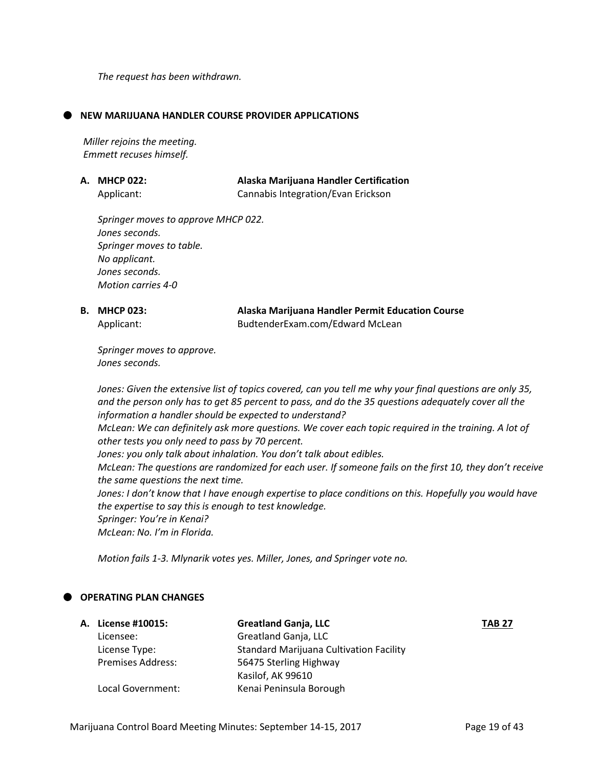*The request has been withdrawn.* 

#### **NEW MARIJUANA HANDLER COURSE PROVIDER APPLICATIONS**

*Miller rejoins the meeting. Emmett recuses himself.*

| A. MHCP 022: | Alaska Marijuana Handler Certification |
|--------------|----------------------------------------|
| Applicant:   | Cannabis Integration/Evan Erickson     |

*Springer moves to approve MHCP 022. Jones seconds. Springer moves to table. No applicant. Jones seconds. Motion carries 4-0*

| <b>B. MHCP 023:</b> | Alaska Marijuana Handler Permit Education Course |
|---------------------|--------------------------------------------------|
| Applicant:          | BudtenderExam.com/Edward McLean                  |

*Springer moves to approve. Jones seconds.*

*Jones: Given the extensive list of topics covered, can you tell me why your final questions are only 35, and the person only has to get 85 percent to pass, and do the 35 questions adequately cover all the information a handler should be expected to understand?* 

*McLean: We can definitely ask more questions. We cover each topic required in the training. A lot of other tests you only need to pass by 70 percent.* 

*Jones: you only talk about inhalation. You don't talk about edibles.* 

*McLean: The questions are randomized for each user. If someone fails on the first 10, they don't receive the same questions the next time.* 

*Jones: I don't know that I have enough expertise to place conditions on this. Hopefully you would have the expertise to say this is enough to test knowledge.* 

*Springer: You're in Kenai?* 

*McLean: No. I'm in Florida.* 

*Motion fails 1-3. Mlynarik votes yes. Miller, Jones, and Springer vote no.* 

# **OPERATING PLAN CHANGES**

| A. License #10015:       | <b>Greatland Ganja, LLC</b>                    | <b>TAB 27</b> |
|--------------------------|------------------------------------------------|---------------|
| Licensee:                | Greatland Ganja, LLC                           |               |
| License Type:            | <b>Standard Marijuana Cultivation Facility</b> |               |
| <b>Premises Address:</b> | 56475 Sterling Highway                         |               |
|                          | Kasilof, AK 99610                              |               |
| Local Government:        | Kenai Peninsula Borough                        |               |
|                          |                                                |               |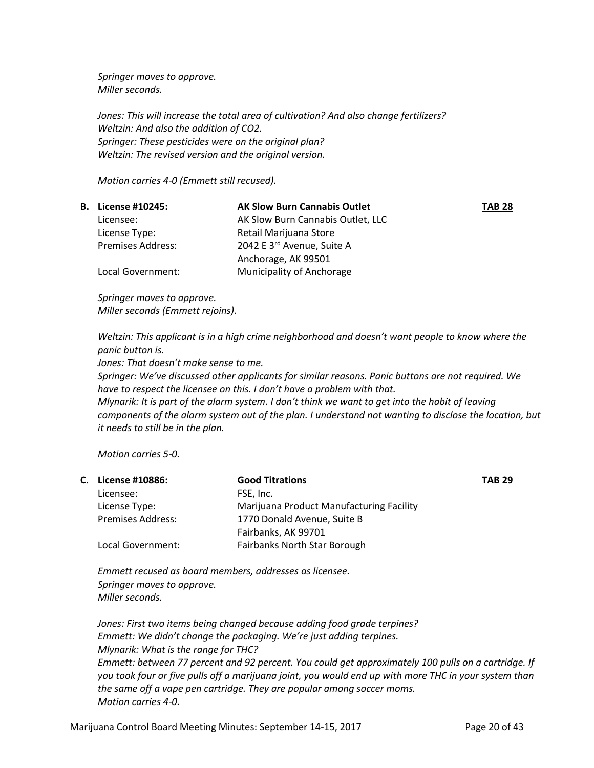*Springer moves to approve. Miller seconds.* 

*Jones: This will increase the total area of cultivation? And also change fertilizers? Weltzin: And also the addition of CO2. Springer: These pesticides were on the original plan? Weltzin: The revised version and the original version.*

*Motion carries 4-0 (Emmett still recused).*

| <b>B.</b> License #10245: | <b>AK Slow Burn Cannabis Outlet</b> | <b>TAB 28</b> |
|---------------------------|-------------------------------------|---------------|
| Licensee:                 | AK Slow Burn Cannabis Outlet, LLC   |               |
| License Type:             | Retail Marijuana Store              |               |
| <b>Premises Address:</b>  | 2042 E 3rd Avenue, Suite A          |               |
|                           | Anchorage, AK 99501                 |               |
| Local Government:         | <b>Municipality of Anchorage</b>    |               |

*Springer moves to approve. Miller seconds (Emmett rejoins).*

*Weltzin: This applicant is in a high crime neighborhood and doesn't want people to know where the panic button is.* 

*Jones: That doesn't make sense to me.*

*Springer: We've discussed other applicants for similar reasons. Panic buttons are not required. We have to respect the licensee on this. I don't have a problem with that.* 

*Mlynarik: It is part of the alarm system. I don't think we want to get into the habit of leaving components of the alarm system out of the plan. I understand not wanting to disclose the location, but it needs to still be in the plan.* 

*Motion carries 5-0.*

| C. License #10886:       | <b>Good Titrations</b>                   | <b>TAB 29</b> |
|--------------------------|------------------------------------------|---------------|
| Licensee:                | FSE, Inc.                                |               |
| License Type:            | Marijuana Product Manufacturing Facility |               |
| <b>Premises Address:</b> | 1770 Donald Avenue, Suite B              |               |
|                          | Fairbanks, AK 99701                      |               |
| Local Government:        | <b>Fairbanks North Star Borough</b>      |               |
|                          |                                          |               |

*Emmett recused as board members, addresses as licensee. Springer moves to approve. Miller seconds.*

*Jones: First two items being changed because adding food grade terpines? Emmett: We didn't change the packaging. We're just adding terpines. Mlynarik: What is the range for THC? Emmett: between 77 percent and 92 percent. You could get approximately 100 pulls on a cartridge. If you took four or five pulls off a marijuana joint, you would end up with more THC in your system than the same off a vape pen cartridge. They are popular among soccer moms. Motion carries 4-0.*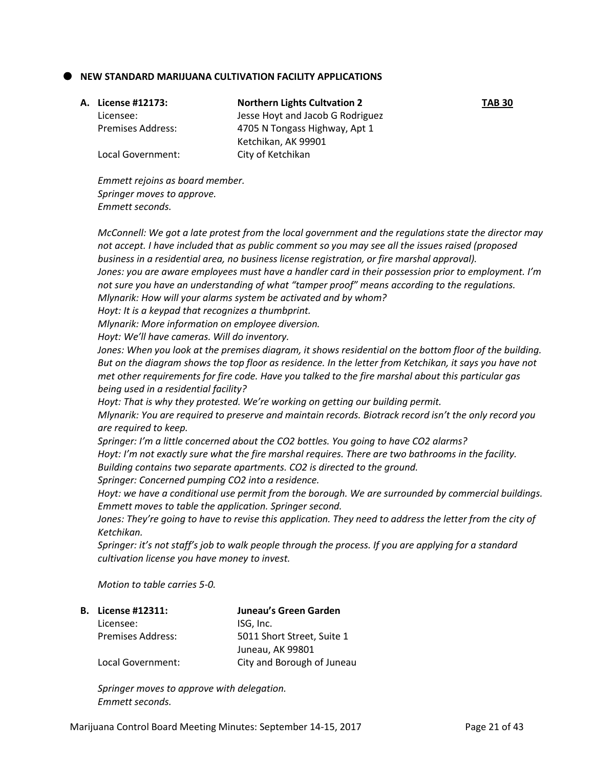### **NEW STANDARD MARIJUANA CULTIVATION FACILITY APPLICATIONS**

| A. License #12173:       | <b>Northern Lights Cultvation 2</b> | <b>TAB 30</b> |
|--------------------------|-------------------------------------|---------------|
| Licensee:                | Jesse Hoyt and Jacob G Rodriguez    |               |
| <b>Premises Address:</b> | 4705 N Tongass Highway, Apt 1       |               |
|                          | Ketchikan, AK 99901                 |               |
| Local Government:        | City of Ketchikan                   |               |

*Emmett rejoins as board member. Springer moves to approve. Emmett seconds.*

*McConnell: We got a late protest from the local government and the regulations state the director may not accept. I have included that as public comment so you may see all the issues raised (proposed business in a residential area, no business license registration, or fire marshal approval). Jones: you are aware employees must have a handler card in their possession prior to employment. I'm not sure you have an understanding of what "tamper proof" means according to the regulations. Mlynarik: How will your alarms system be activated and by whom? Hoyt: It is a keypad that recognizes a thumbprint. Mlynarik: More information on employee diversion. Hoyt: We'll have cameras. Will do inventory. Jones: When you look at the premises diagram, it shows residential on the bottom floor of the building. But on the diagram shows the top floor as residence. In the letter from Ketchikan, it says you have not met other requirements for fire code. Have you talked to the fire marshal about this particular gas being used in a residential facility? Hoyt: That is why they protested. We're working on getting our building permit. Mlynarik: You are required to preserve and maintain records. Biotrack record isn't the only record you are required to keep.* 

*Springer: I'm a little concerned about the CO2 bottles. You going to have CO2 alarms? Hoyt: I'm not exactly sure what the fire marshal requires. There are two bathrooms in the facility. Building contains two separate apartments. CO2 is directed to the ground.* 

*Springer: Concerned pumping CO2 into a residence.* 

*Hoyt: we have a conditional use permit from the borough. We are surrounded by commercial buildings. Emmett moves to table the application. Springer second.* 

*Jones: They're going to have to revise this application. They need to address the letter from the city of Ketchikan.* 

*Springer: it's not staff's job to walk people through the process. If you are applying for a standard cultivation license you have money to invest.* 

*Motion to table carries 5-0.*

| <b>B.</b> License #12311: | Juneau's Green Garden      |
|---------------------------|----------------------------|
| Licensee:                 | ISG, Inc.                  |
| Premises Address:         | 5011 Short Street, Suite 1 |
|                           | Juneau, AK 99801           |
| Local Government:         | City and Borough of Juneau |

*Springer moves to approve with delegation. Emmett seconds.*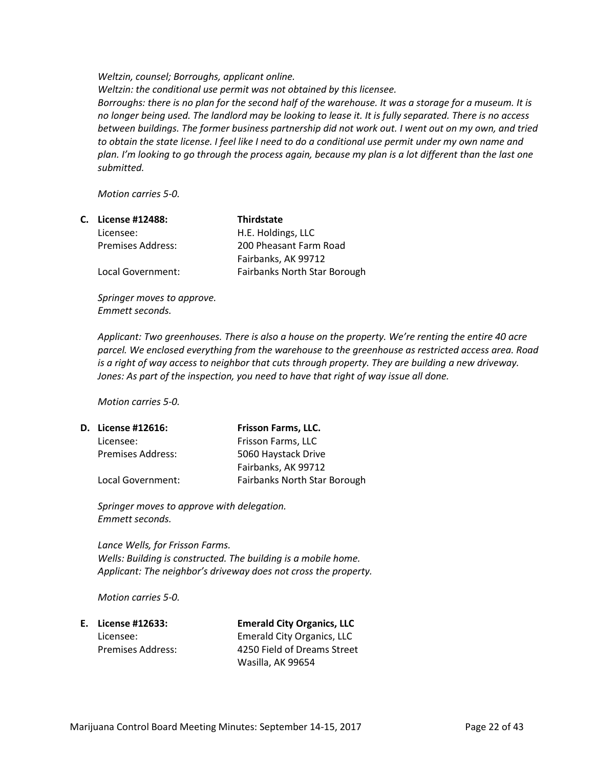*Weltzin, counsel; Borroughs, applicant online. Weltzin: the conditional use permit was not obtained by this licensee. Borroughs: there is no plan for the second half of the warehouse. It was a storage for a museum. It is no longer being used. The landlord may be looking to lease it. It is fully separated. There is no access between buildings. The former business partnership did not work out. I went out on my own, and tried to obtain the state license. I feel like I need to do a conditional use permit under my own name and plan. I'm looking to go through the process again, because my plan is a lot different than the last one submitted.* 

*Motion carries 5-0.*

| C. License #12488:       | <b>Thirdstate</b>            |
|--------------------------|------------------------------|
| Licensee:                | H.E. Holdings, LLC           |
| <b>Premises Address:</b> | 200 Pheasant Farm Road       |
|                          | Fairbanks, AK 99712          |
| Local Government:        | Fairbanks North Star Borough |

*Springer moves to approve. Emmett seconds.*

*Applicant: Two greenhouses. There is also a house on the property. We're renting the entire 40 acre parcel. We enclosed everything from the warehouse to the greenhouse as restricted access area. Road is a right of way access to neighbor that cuts through property. They are building a new driveway. Jones: As part of the inspection, you need to have that right of way issue all done.* 

*Motion carries 5-0.*

| D. License #12616:       | Frisson Farms, LLC.                 |
|--------------------------|-------------------------------------|
| Licensee:                | Frisson Farms, LLC                  |
| <b>Premises Address:</b> | 5060 Haystack Drive                 |
|                          | Fairbanks, AK 99712                 |
| Local Government:        | <b>Fairbanks North Star Borough</b> |
|                          |                                     |

*Springer moves to approve with delegation. Emmett seconds.* 

*Lance Wells, for Frisson Farms. Wells: Building is constructed. The building is a mobile home. Applicant: The neighbor's driveway does not cross the property.*

*Motion carries 5-0.*

**E. License #12633: Emerald City Organics, LLC** Licensee: Emerald City Organics, LLC Premises Address: 4250 Field of Dreams Street Wasilla, AK 99654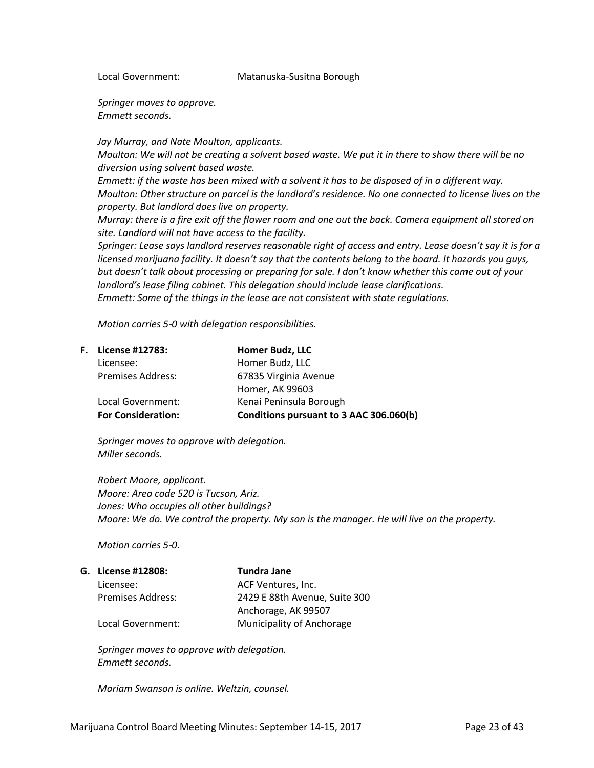Local Government: Matanuska-Susitna Borough

*Springer moves to approve. Emmett seconds.*

*Jay Murray, and Nate Moulton, applicants.*

*Moulton: We will not be creating a solvent based waste. We put it in there to show there will be no diversion using solvent based waste.* 

*Emmett: if the waste has been mixed with a solvent it has to be disposed of in a different way. Moulton: Other structure on parcel is the landlord's residence. No one connected to license lives on the property. But landlord does live on property.* 

*Murray: there is a fire exit off the flower room and one out the back. Camera equipment all stored on site. Landlord will not have access to the facility.* 

*Springer: Lease says landlord reserves reasonable right of access and entry. Lease doesn't say it is for a licensed marijuana facility. It doesn't say that the contents belong to the board. It hazards you guys, but doesn't talk about processing or preparing for sale. I don't know whether this came out of your landlord's lease filing cabinet. This delegation should include lease clarifications. Emmett: Some of the things in the lease are not consistent with state regulations.* 

*Motion carries 5-0 with delegation responsibilities.* 

| <b>F.</b> License #12783: | Homer Budz, LLC                         |
|---------------------------|-----------------------------------------|
| Licensee:                 | Homer Budz, LLC                         |
| <b>Premises Address:</b>  | 67835 Virginia Avenue                   |
|                           | Homer, AK 99603                         |
| Local Government:         | Kenai Peninsula Borough                 |
| <b>For Consideration:</b> | Conditions pursuant to 3 AAC 306.060(b) |

*Springer moves to approve with delegation. Miller seconds.* 

*Robert Moore, applicant. Moore: Area code 520 is Tucson, Ariz. Jones: Who occupies all other buildings? Moore: We do. We control the property. My son is the manager. He will live on the property.*

*Motion carries 5-0.*

| G. License #12808: | Tundra Jane                   |
|--------------------|-------------------------------|
| Licensee:          | ACF Ventures, Inc.            |
| Premises Address:  | 2429 E 88th Avenue, Suite 300 |
|                    | Anchorage, AK 99507           |
| Local Government:  | Municipality of Anchorage     |

*Springer moves to approve with delegation. Emmett seconds.* 

*Mariam Swanson is online. Weltzin, counsel.*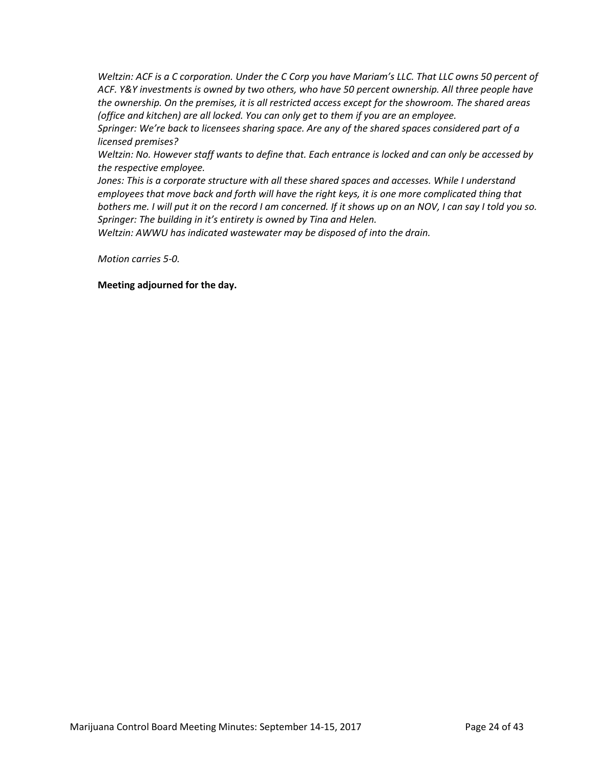*Weltzin: ACF is a C corporation. Under the C Corp you have Mariam's LLC. That LLC owns 50 percent of ACF. Y&Y investments is owned by two others, who have 50 percent ownership. All three people have the ownership. On the premises, it is all restricted access except for the showroom. The shared areas (office and kitchen) are all locked. You can only get to them if you are an employee.* 

*Springer: We're back to licensees sharing space. Are any of the shared spaces considered part of a licensed premises?*

*Weltzin: No. However staff wants to define that. Each entrance is locked and can only be accessed by the respective employee.* 

Jones: This is a corporate structure with all these shared spaces and accesses. While I understand *employees that move back and forth will have the right keys, it is one more complicated thing that bothers me. I will put it on the record I am concerned. If it shows up on an NOV, I can say I told you so. Springer: The building in it's entirety is owned by Tina and Helen.* 

*Weltzin: AWWU has indicated wastewater may be disposed of into the drain.* 

*Motion carries 5-0.*

**Meeting adjourned for the day.**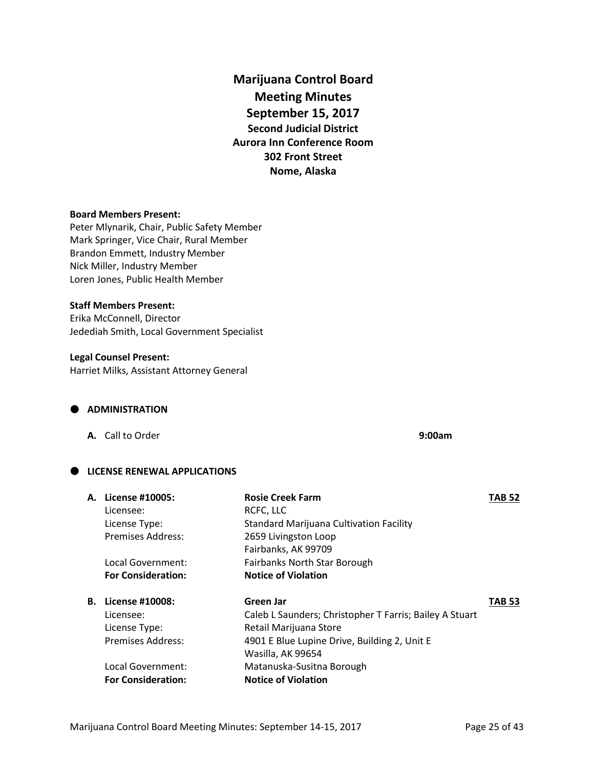**Marijuana Control Board Meeting Minutes September 15, 2017 Second Judicial District Aurora Inn Conference Room 302 Front Street Nome, Alaska**

### **Board Members Present:**

Peter Mlynarik, Chair, Public Safety Member Mark Springer, Vice Chair, Rural Member Brandon Emmett, Industry Member Nick Miller, Industry Member Loren Jones, Public Health Member

## **Staff Members Present:**

Erika McConnell, Director Jedediah Smith, Local Government Specialist

# **Legal Counsel Present:**

Harriet Milks, Assistant Attorney General

#### **ADMINISTRATION**

**A.** Call to Order **9:00am**

# **LICENSE RENEWAL APPLICATIONS**

| <b>A.</b> License #10005: | <b>Rosie Creek Farm</b>                                 | <b>TAB 52</b> |
|---------------------------|---------------------------------------------------------|---------------|
| Licensee:                 | RCFC, LLC                                               |               |
| License Type:             | <b>Standard Marijuana Cultivation Facility</b>          |               |
| <b>Premises Address:</b>  | 2659 Livingston Loop                                    |               |
|                           | Fairbanks, AK 99709                                     |               |
| Local Government:         | Fairbanks North Star Borough                            |               |
| <b>For Consideration:</b> | <b>Notice of Violation</b>                              |               |
| <b>B.</b> License #10008: | Green Jar                                               | <b>TAB 53</b> |
| Licensee:                 | Caleb L Saunders; Christopher T Farris; Bailey A Stuart |               |
| License Type:             | Retail Marijuana Store                                  |               |
| <b>Premises Address:</b>  | 4901 E Blue Lupine Drive, Building 2, Unit E            |               |
|                           | Wasilla, AK 99654                                       |               |
| Local Government:         | Matanuska-Susitna Borough                               |               |
| <b>For Consideration:</b> | <b>Notice of Violation</b>                              |               |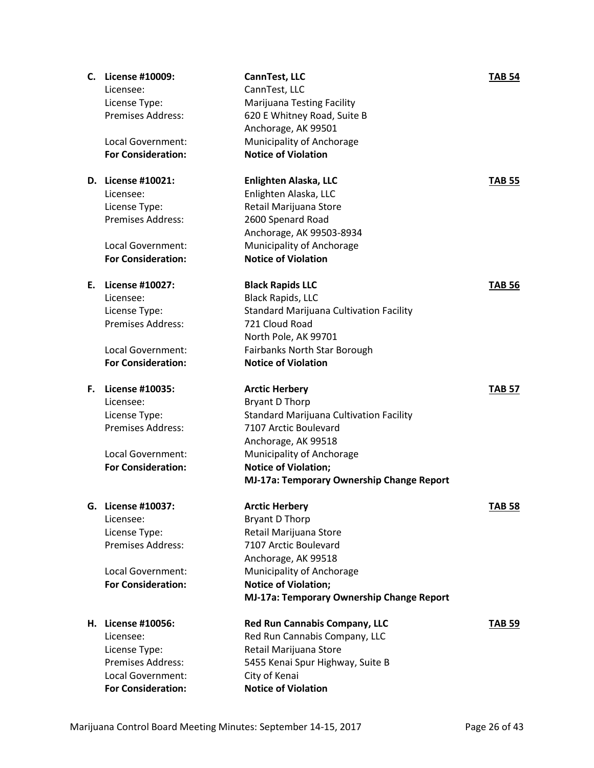| C. | License #10009:                                | CannTest, LLC                                  | <b>TAB 54</b> |
|----|------------------------------------------------|------------------------------------------------|---------------|
|    | Licensee:                                      | CannTest, LLC                                  |               |
|    | License Type:                                  | <b>Marijuana Testing Facility</b>              |               |
|    | <b>Premises Address:</b>                       | 620 E Whitney Road, Suite B                    |               |
|    |                                                | Anchorage, AK 99501                            |               |
|    | Local Government:                              | Municipality of Anchorage                      |               |
|    | <b>For Consideration:</b>                      | <b>Notice of Violation</b>                     |               |
|    |                                                |                                                |               |
|    | D. License #10021:                             | Enlighten Alaska, LLC                          | <b>TAB 55</b> |
|    | Licensee:                                      | Enlighten Alaska, LLC                          |               |
|    | License Type:                                  | Retail Marijuana Store                         |               |
|    | Premises Address:                              | 2600 Spenard Road                              |               |
|    |                                                | Anchorage, AK 99503-8934                       |               |
|    | Local Government:                              | Municipality of Anchorage                      |               |
|    | <b>For Consideration:</b>                      | <b>Notice of Violation</b>                     |               |
|    |                                                |                                                |               |
| Е. | License #10027:                                | <b>Black Rapids LLC</b>                        | <b>TAB 56</b> |
|    | Licensee:                                      | <b>Black Rapids, LLC</b>                       |               |
|    | License Type:                                  | <b>Standard Marijuana Cultivation Facility</b> |               |
|    | <b>Premises Address:</b>                       | 721 Cloud Road                                 |               |
|    |                                                | North Pole, AK 99701                           |               |
|    | Local Government:                              | Fairbanks North Star Borough                   |               |
|    | <b>For Consideration:</b>                      | <b>Notice of Violation</b>                     |               |
|    |                                                |                                                |               |
| F. | License #10035:                                | <b>Arctic Herbery</b>                          | <b>TAB 57</b> |
|    | Licensee:                                      | Bryant D Thorp                                 |               |
|    |                                                | <b>Standard Marijuana Cultivation Facility</b> |               |
|    | License Type:                                  |                                                |               |
|    | <b>Premises Address:</b>                       | 7107 Arctic Boulevard                          |               |
|    |                                                | Anchorage, AK 99518                            |               |
|    | Local Government:                              | Municipality of Anchorage                      |               |
|    | <b>For Consideration:</b>                      | <b>Notice of Violation;</b>                    |               |
|    |                                                | MJ-17a: Temporary Ownership Change Report      |               |
|    |                                                |                                                |               |
| G. | License #10037:                                | <b>Arctic Herbery</b>                          | <b>TAB 58</b> |
|    | Licensee:                                      | <b>Bryant D Thorp</b>                          |               |
|    | License Type:                                  | Retail Marijuana Store                         |               |
|    | Premises Address:                              | 7107 Arctic Boulevard                          |               |
|    |                                                | Anchorage, AK 99518                            |               |
|    | Local Government:                              | Municipality of Anchorage                      |               |
|    | <b>For Consideration:</b>                      | <b>Notice of Violation;</b>                    |               |
|    |                                                | MJ-17a: Temporary Ownership Change Report      |               |
|    |                                                |                                                |               |
|    | H. License #10056:                             | <b>Red Run Cannabis Company, LLC</b>           | <b>TAB 59</b> |
|    | Licensee:                                      | Red Run Cannabis Company, LLC                  |               |
|    | License Type:                                  | Retail Marijuana Store                         |               |
|    | Premises Address:                              | 5455 Kenai Spur Highway, Suite B               |               |
|    | Local Government:<br><b>For Consideration:</b> | City of Kenai<br><b>Notice of Violation</b>    |               |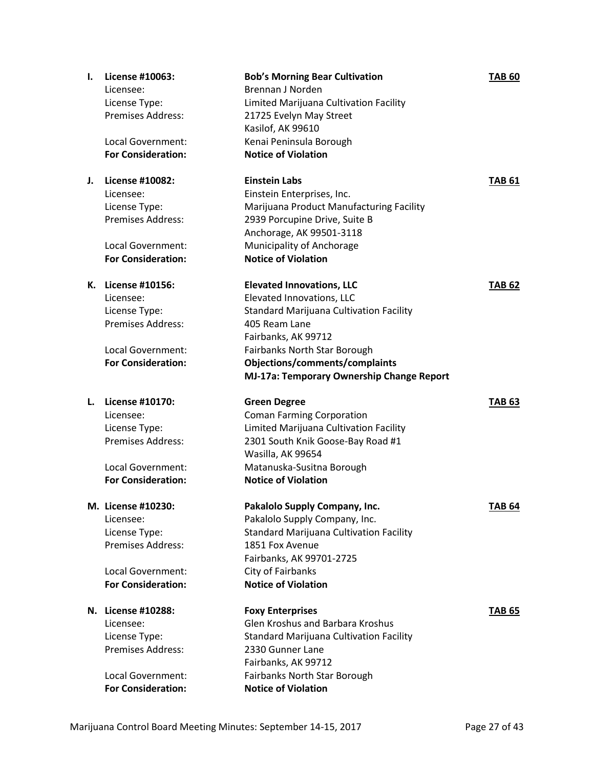| Ι. | License #10063:                                | <b>Bob's Morning Bear Cultivation</b>                      | <b>TAB 60</b> |
|----|------------------------------------------------|------------------------------------------------------------|---------------|
|    | Licensee:                                      | Brennan J Norden                                           |               |
|    | License Type:                                  | Limited Marijuana Cultivation Facility                     |               |
|    | <b>Premises Address:</b>                       | 21725 Evelyn May Street                                    |               |
|    |                                                | Kasilof, AK 99610                                          |               |
|    | <b>Local Government:</b>                       | Kenai Peninsula Borough                                    |               |
|    | <b>For Consideration:</b>                      | <b>Notice of Violation</b>                                 |               |
|    |                                                |                                                            |               |
| J. | License #10082:                                | <b>Einstein Labs</b>                                       | <b>TAB 61</b> |
|    | Licensee:                                      | Einstein Enterprises, Inc.                                 |               |
|    | License Type:                                  | Marijuana Product Manufacturing Facility                   |               |
|    | Premises Address:                              | 2939 Porcupine Drive, Suite B                              |               |
|    |                                                | Anchorage, AK 99501-3118                                   |               |
|    | Local Government:                              | Municipality of Anchorage                                  |               |
|    | <b>For Consideration:</b>                      | <b>Notice of Violation</b>                                 |               |
|    |                                                |                                                            |               |
|    | K. License #10156:                             | <b>Elevated Innovations, LLC</b>                           | <b>TAB 62</b> |
|    | Licensee:                                      | Elevated Innovations, LLC                                  |               |
|    | License Type:                                  | <b>Standard Marijuana Cultivation Facility</b>             |               |
|    | <b>Premises Address:</b>                       | 405 Ream Lane                                              |               |
|    |                                                | Fairbanks, AK 99712                                        |               |
|    | <b>Local Government:</b>                       | Fairbanks North Star Borough                               |               |
|    | <b>For Consideration:</b>                      | Objections/comments/complaints                             |               |
|    |                                                | MJ-17a: Temporary Ownership Change Report                  |               |
|    |                                                |                                                            |               |
| L. |                                                |                                                            |               |
|    | License #10170:<br>Licensee:                   | <b>Green Degree</b>                                        | <b>TAB 63</b> |
|    |                                                | <b>Coman Farming Corporation</b>                           |               |
|    | License Type:                                  | Limited Marijuana Cultivation Facility                     |               |
|    | <b>Premises Address:</b>                       | 2301 South Knik Goose-Bay Road #1                          |               |
|    |                                                | Wasilla, AK 99654                                          |               |
|    | Local Government:<br><b>For Consideration:</b> | Matanuska-Susitna Borough<br><b>Notice of Violation</b>    |               |
|    |                                                |                                                            |               |
|    | M. License #10230:                             | Pakalolo Supply Company, Inc.                              | <b>TAB 64</b> |
|    | Licensee:                                      | Pakalolo Supply Company, Inc.                              |               |
|    | License Type:                                  | Standard Marijuana Cultivation Facility                    |               |
|    | Premises Address:                              | 1851 Fox Avenue                                            |               |
|    |                                                | Fairbanks, AK 99701-2725                                   |               |
|    | Local Government:                              | City of Fairbanks                                          |               |
|    | <b>For Consideration:</b>                      | <b>Notice of Violation</b>                                 |               |
|    |                                                |                                                            |               |
|    | N. License #10288:                             | <b>Foxy Enterprises</b>                                    | <b>TAB 65</b> |
|    | Licensee:                                      | <b>Glen Kroshus and Barbara Kroshus</b>                    |               |
|    | License Type:                                  | Standard Marijuana Cultivation Facility                    |               |
|    | <b>Premises Address:</b>                       | 2330 Gunner Lane                                           |               |
|    |                                                | Fairbanks, AK 99712                                        |               |
|    | Local Government:<br><b>For Consideration:</b> | Fairbanks North Star Borough<br><b>Notice of Violation</b> |               |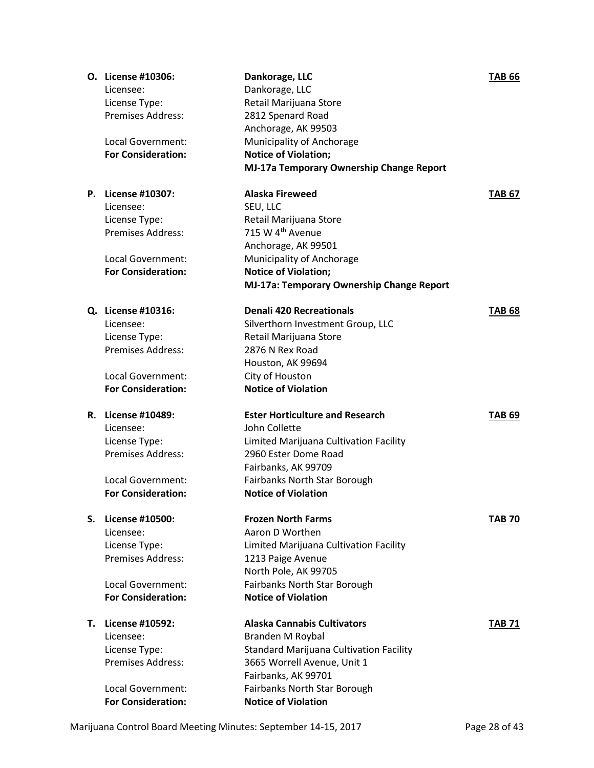|    | O. License #10306:                        | Dankorage, LLC                                 | <b>TAB 66</b> |
|----|-------------------------------------------|------------------------------------------------|---------------|
|    | Licensee:                                 | Dankorage, LLC                                 |               |
|    | License Type:                             | Retail Marijuana Store                         |               |
|    | <b>Premises Address:</b>                  | 2812 Spenard Road                              |               |
|    |                                           | Anchorage, AK 99503                            |               |
|    | Local Government:                         | Municipality of Anchorage                      |               |
|    | <b>For Consideration:</b>                 | <b>Notice of Violation;</b>                    |               |
|    |                                           | MJ-17a Temporary Ownership Change Report       |               |
|    | P. License #10307:                        | <b>Alaska Fireweed</b>                         | <b>TAB 67</b> |
|    | Licensee:                                 | SEU, LLC                                       |               |
|    | License Type:                             | Retail Marijuana Store                         |               |
|    | <b>Premises Address:</b>                  | 715 W 4 <sup>th</sup> Avenue                   |               |
|    |                                           | Anchorage, AK 99501                            |               |
|    | Local Government:                         | Municipality of Anchorage                      |               |
|    | <b>For Consideration:</b>                 | <b>Notice of Violation;</b>                    |               |
|    |                                           | MJ-17a: Temporary Ownership Change Report      |               |
|    | Q. License #10316:                        | <b>Denali 420 Recreationals</b>                |               |
|    |                                           |                                                | <b>TAB 68</b> |
|    | Licensee:                                 | Silverthorn Investment Group, LLC              |               |
|    | License Type:<br><b>Premises Address:</b> | Retail Marijuana Store                         |               |
|    |                                           | 2876 N Rex Road                                |               |
|    | Local Government:                         | Houston, AK 99694                              |               |
|    | <b>For Consideration:</b>                 | City of Houston<br><b>Notice of Violation</b>  |               |
|    |                                           |                                                |               |
|    | R. License #10489:                        | <b>Ester Horticulture and Research</b>         | <b>TAB 69</b> |
|    | Licensee:                                 | John Collette                                  |               |
|    | License Type:                             | Limited Marijuana Cultivation Facility         |               |
|    | <b>Premises Address:</b>                  | 2960 Ester Dome Road                           |               |
|    |                                           | Fairbanks, AK 99709                            |               |
|    | Local Government:                         | Fairbanks North Star Borough                   |               |
|    | <b>For Consideration:</b>                 | <b>Notice of Violation</b>                     |               |
| S. | License #10500:                           | <b>Frozen North Farms</b>                      | <b>TAB 70</b> |
|    | Licensee:                                 | Aaron D Worthen                                |               |
|    | License Type:                             | Limited Marijuana Cultivation Facility         |               |
|    | <b>Premises Address:</b>                  | 1213 Paige Avenue                              |               |
|    |                                           | North Pole, AK 99705                           |               |
|    | Local Government:                         | Fairbanks North Star Borough                   |               |
|    | <b>For Consideration:</b>                 | <b>Notice of Violation</b>                     |               |
| Т. | License #10592:                           | <b>Alaska Cannabis Cultivators</b>             | <b>TAB 71</b> |
|    | Licensee:                                 | Branden M Roybal                               |               |
|    | License Type:                             | <b>Standard Marijuana Cultivation Facility</b> |               |
|    | <b>Premises Address:</b>                  | 3665 Worrell Avenue, Unit 1                    |               |
|    |                                           | Fairbanks, AK 99701                            |               |
|    | Local Government:                         | Fairbanks North Star Borough                   |               |
|    | <b>For Consideration:</b>                 | <b>Notice of Violation</b>                     |               |

Marijuana Control Board Meeting Minutes: September 14-15, 2017 Page 28 of 43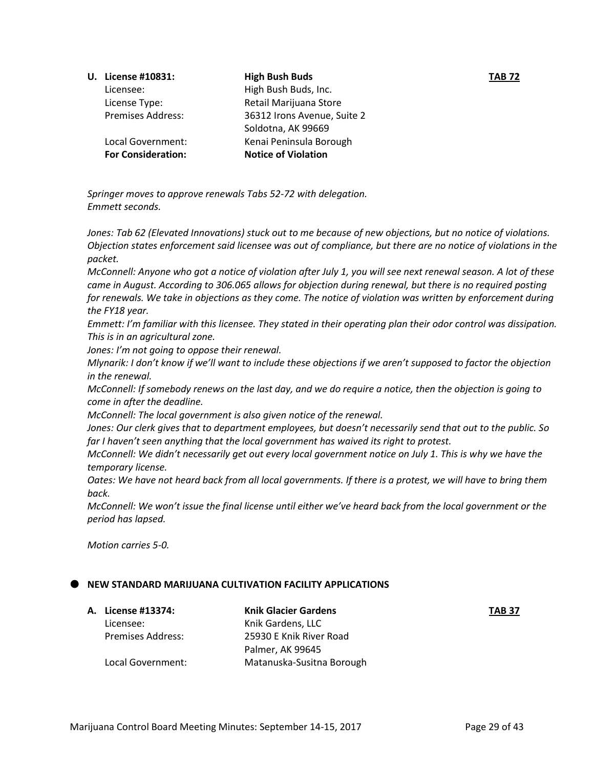| <b>U.</b> License #10831: | <b>High Bush Buds</b>       | <b>TAB 72</b> |
|---------------------------|-----------------------------|---------------|
| Licensee:                 | High Bush Buds, Inc.        |               |
| License Type:             | Retail Marijuana Store      |               |
| <b>Premises Address:</b>  | 36312 Irons Avenue, Suite 2 |               |
|                           | Soldotna, AK 99669          |               |
| Local Government:         | Kenai Peninsula Borough     |               |
| <b>For Consideration:</b> | <b>Notice of Violation</b>  |               |
|                           |                             |               |

*Springer moves to approve renewals Tabs 52-72 with delegation. Emmett seconds.* 

*Jones: Tab 62 (Elevated Innovations) stuck out to me because of new objections, but no notice of violations. Objection states enforcement said licensee was out of compliance, but there are no notice of violations in the packet.* 

*McConnell: Anyone who got a notice of violation after July 1, you will see next renewal season. A lot of these came in August. According to 306.065 allows for objection during renewal, but there is no required posting for renewals. We take in objections as they come. The notice of violation was written by enforcement during the FY18 year.* 

*Emmett: I'm familiar with this licensee. They stated in their operating plan their odor control was dissipation. This is in an agricultural zone.* 

*Jones: I'm not going to oppose their renewal.* 

*Mlynarik: I don't know if we'll want to include these objections if we aren't supposed to factor the objection in the renewal.*

*McConnell: If somebody renews on the last day, and we do require a notice, then the objection is going to come in after the deadline.* 

*McConnell: The local government is also given notice of the renewal.* 

*Jones: Our clerk gives that to department employees, but doesn't necessarily send that out to the public. So far I haven't seen anything that the local government has waived its right to protest.* 

*McConnell: We didn't necessarily get out every local government notice on July 1. This is why we have the temporary license.* 

*Oates: We have not heard back from all local governments. If there is a protest, we will have to bring them back.*

*McConnell: We won't issue the final license until either we've heard back from the local government or the period has lapsed.*

*Motion carries 5-0.*

# **NEW STANDARD MARIJUANA CULTIVATION FACILITY APPLICATIONS**

**A. License #13374: Knik Glacier Gardens TAB 37** Licensee: Knik Gardens, LLC Premises Address: 25930 E Knik River Road

Palmer, AK 99645 Local Government: Matanuska-Susitna Borough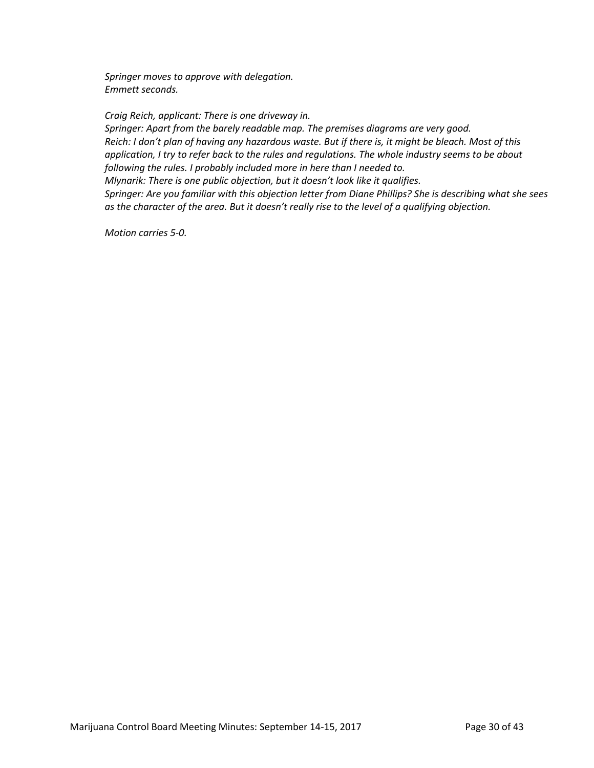*Springer moves to approve with delegation. Emmett seconds.*

*Craig Reich, applicant: There is one driveway in. Springer: Apart from the barely readable map. The premises diagrams are very good. Reich: I don't plan of having any hazardous waste. But if there is, it might be bleach. Most of this application, I try to refer back to the rules and regulations. The whole industry seems to be about following the rules. I probably included more in here than I needed to. Mlynarik: There is one public objection, but it doesn't look like it qualifies.* 

*Springer: Are you familiar with this objection letter from Diane Phillips? She is describing what she sees as the character of the area. But it doesn't really rise to the level of a qualifying objection.*

*Motion carries 5-0.*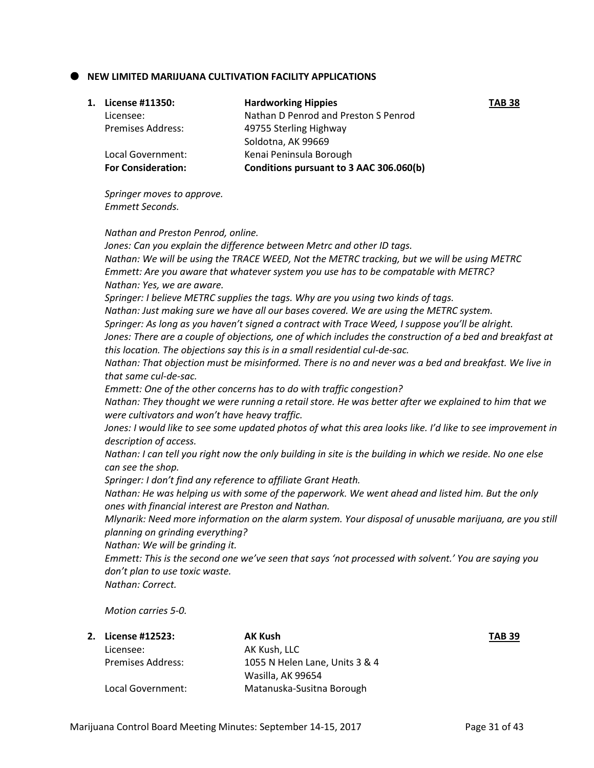# **NEW LIMITED MARIJUANA CULTIVATION FACILITY APPLICATIONS**

| 1. | License #11350:           | <b>Hardworking Hippies</b>              | <b>TAB 38</b> |
|----|---------------------------|-----------------------------------------|---------------|
|    | Licensee:                 | Nathan D Penrod and Preston S Penrod    |               |
|    | <b>Premises Address:</b>  | 49755 Sterling Highway                  |               |
|    |                           | Soldotna, AK 99669                      |               |
|    | Local Government:         | Kenai Peninsula Borough                 |               |
|    | <b>For Consideration:</b> | Conditions pursuant to 3 AAC 306.060(b) |               |
|    |                           |                                         |               |

*Springer moves to approve. Emmett Seconds.*

#### *Nathan and Preston Penrod, online.*

*Jones: Can you explain the difference between Metrc and other ID tags. Nathan: We will be using the TRACE WEED, Not the METRC tracking, but we will be using METRC Emmett: Are you aware that whatever system you use has to be compatable with METRC? Nathan: Yes, we are aware. Springer: I believe METRC supplies the tags. Why are you using two kinds of tags. Nathan: Just making sure we have all our bases covered. We are using the METRC system. Springer: As long as you haven't signed a contract with Trace Weed, I suppose you'll be alright. Jones: There are a couple of objections, one of which includes the construction of a bed and breakfast at this location. The objections say this is in a small residential cul-de-sac. Nathan: That objection must be misinformed. There is no and never was a bed and breakfast. We live in that same cul-de-sac. Emmett: One of the other concerns has to do with traffic congestion? Nathan: They thought we were running a retail store. He was better after we explained to him that we were cultivators and won't have heavy traffic. Jones: I would like to see some updated photos of what this area looks like. I'd like to see improvement in description of access. Nathan: I can tell you right now the only building in site is the building in which we reside. No one else can see the shop. Springer: I don't find any reference to affiliate Grant Heath. Nathan: He was helping us with some of the paperwork. We went ahead and listed him. But the only ones with financial interest are Preston and Nathan. Mlynarik: Need more information on the alarm system. Your disposal of unusable marijuana, are you still planning on grinding everything? Nathan: We will be grinding it. Emmett: This is the second one we've seen that says 'not processed with solvent.' You are saying you don't plan to use toxic waste. Nathan: Correct.* 

*Motion carries 5-0.*

| 2. License #12523:       | <b>AK Kush</b>                 | <b>TAB 39</b> |
|--------------------------|--------------------------------|---------------|
| Licensee:                | AK Kush, LLC                   |               |
| <b>Premises Address:</b> | 1055 N Helen Lane, Units 3 & 4 |               |
|                          | Wasilla, AK 99654              |               |
| Local Government:        | Matanuska-Susitna Borough      |               |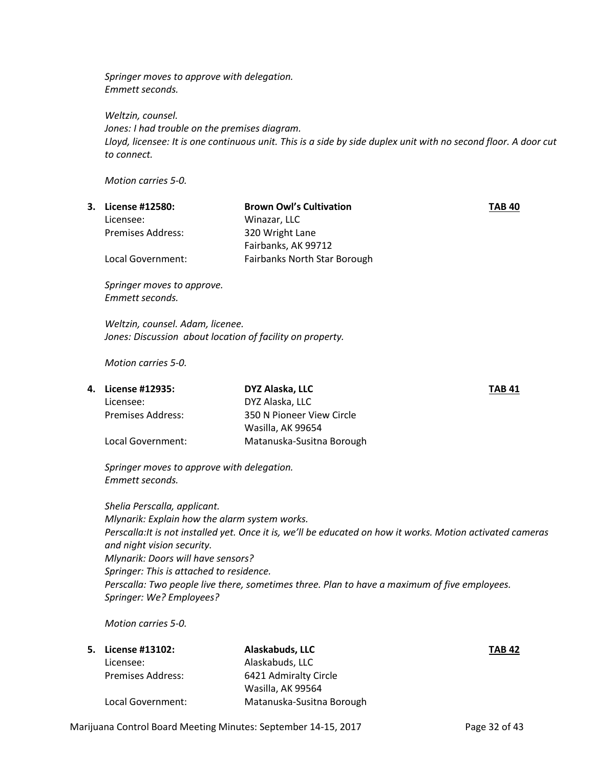*Springer moves to approve with delegation. Emmett seconds.*

*Weltzin, counsel. Jones: I had trouble on the premises diagram. Lloyd, licensee: It is one continuous unit. This is a side by side duplex unit with no second floor. A door cut to connect.* 

*Motion carries 5-0.*

| 3. | License #12580:          | <b>Brown Owl's Cultivation</b>      | <b>TAB 40</b> |
|----|--------------------------|-------------------------------------|---------------|
|    | Licensee:                | Winazar, LLC                        |               |
|    | <b>Premises Address:</b> | 320 Wright Lane                     |               |
|    |                          | Fairbanks, AK 99712                 |               |
|    | Local Government:        | <b>Fairbanks North Star Borough</b> |               |
|    |                          |                                     |               |

*Springer moves to approve. Emmett seconds.* 

*Weltzin, counsel. Adam, licenee. Jones: Discussion about location of facility on property.*

*Motion carries 5-0.*

|                          | DYZ Alaska, LLC           | <b>TAB 41</b> |
|--------------------------|---------------------------|---------------|
| Licensee:                | DYZ Alaska, LLC           |               |
| <b>Premises Address:</b> | 350 N Pioneer View Circle |               |
|                          | Wasilla, AK 99654         |               |
| Local Government:        | Matanuska-Susitna Borough |               |
|                          | 4. License #12935:        |               |

*Springer moves to approve with delegation. Emmett seconds.*

*Shelia Perscalla, applicant. Mlynarik: Explain how the alarm system works. Perscalla:It is not installed yet. Once it is, we'll be educated on how it works. Motion activated cameras and night vision security. Mlynarik: Doors will have sensors? Springer: This is attached to residence. Perscalla: Two people live there, sometimes three. Plan to have a maximum of five employees. Springer: We? Employees?* 

*Motion carries 5-0.*

| <b>5.</b> License #13102: | Alaskabuds, LLC           | <b>TAB 42</b> |
|---------------------------|---------------------------|---------------|
| Licensee:                 | Alaskabuds, LLC           |               |
| Premises Address:         | 6421 Admiralty Circle     |               |
|                           | Wasilla, AK 99564         |               |
| Local Government:         | Matanuska-Susitna Borough |               |

Marijuana Control Board Meeting Minutes: September 14-15, 2017 Page 32 of 43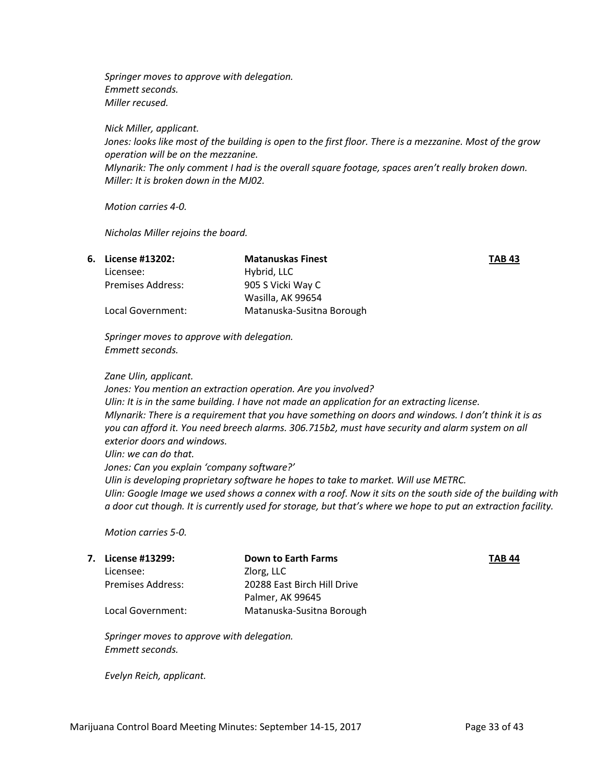*Springer moves to approve with delegation. Emmett seconds. Miller recused.*

*Nick Miller, applicant. Jones: looks like most of the building is open to the first floor. There is a mezzanine. Most of the grow operation will be on the mezzanine. Mlynarik: The only comment I had is the overall square footage, spaces aren't really broken down. Miller: It is broken down in the MJ02.* 

*Motion carries 4-0.*

*Nicholas Miller rejoins the board.*

|                          | <b>Matanuskas Finest</b>  | <b>TAB 43</b> |
|--------------------------|---------------------------|---------------|
| Licensee:                | Hybrid, LLC               |               |
| <b>Premises Address:</b> | 905 S Vicki Way C         |               |
|                          | Wasilla, AK 99654         |               |
| Local Government:        | Matanuska-Susitna Borough |               |
|                          | 6. License #13202:        |               |

*Springer moves to approve with delegation. Emmett seconds.*

#### *Zane Ulin, applicant.*

*Jones: You mention an extraction operation. Are you involved? Ulin: It is in the same building. I have not made an application for an extracting license. Mlynarik: There is a requirement that you have something on doors and windows. I don't think it is as you can afford it. You need breech alarms. 306.715b2, must have security and alarm system on all exterior doors and windows. Ulin: we can do that.* 

*Jones: Can you explain 'company software?'*

*Ulin is developing proprietary software he hopes to take to market. Will use METRC. Ulin: Google Image we used shows a connex with a roof. Now it sits on the south side of the building with a door cut though. It is currently used for storage, but that's where we hope to put an extraction facility.* 

*Motion carries 5-0.*

|                          | <b>Down to Earth Farms</b>  | <b>TAB 44</b> |
|--------------------------|-----------------------------|---------------|
| Licensee:                | Zlorg, LLC                  |               |
| <b>Premises Address:</b> | 20288 East Birch Hill Drive |               |
|                          | Palmer, AK 99645            |               |
| Local Government:        | Matanuska-Susitna Borough   |               |
|                          | 7. License #13299:          |               |

*Springer moves to approve with delegation. Emmett seconds.*

*Evelyn Reich, applicant.*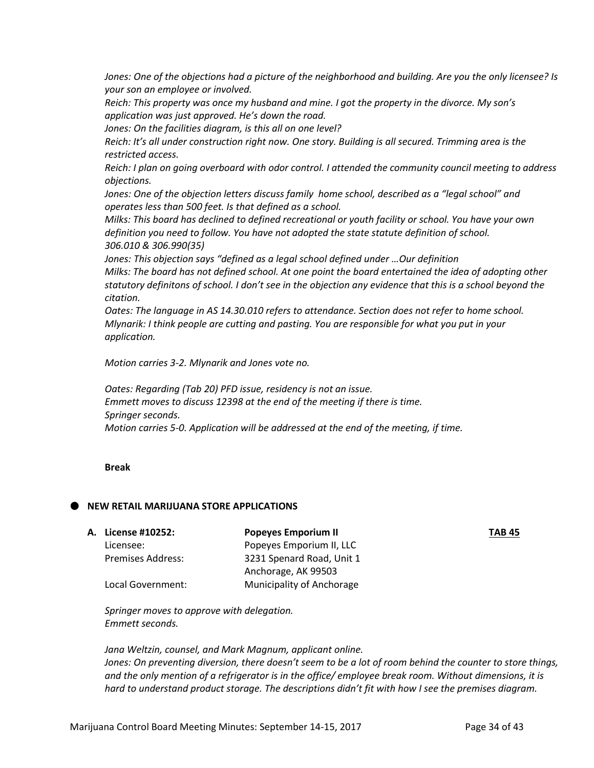*Jones: One of the objections had a picture of the neighborhood and building. Are you the only licensee? Is your son an employee or involved.*

*Reich: This property was once my husband and mine. I got the property in the divorce. My son's application was just approved. He's down the road.* 

*Jones: On the facilities diagram, is this all on one level?* 

*Reich: It's all under construction right now. One story. Building is all secured. Trimming area is the restricted access.* 

*Reich: I plan on going overboard with odor control. I attended the community council meeting to address objections.* 

*Jones: One of the objection letters discuss family home school, described as a "legal school" and operates less than 500 feet. Is that defined as a school.*

*Milks: This board has declined to defined recreational or youth facility or school. You have your own definition you need to follow. You have not adopted the state statute definition of school. 306.010 & 306.990(35)*

*Jones: This objection says "defined as a legal school defined under …Our definition Milks: The board has not defined school. At one point the board entertained the idea of adopting other statutory definitons of school. I don't see in the objection any evidence that this is a school beyond the citation.* 

*Oates: The language in AS 14.30.010 refers to attendance. Section does not refer to home school. Mlynarik: I think people are cutting and pasting. You are responsible for what you put in your application.* 

*Motion carries 3-2. Mlynarik and Jones vote no.* 

*Oates: Regarding (Tab 20) PFD issue, residency is not an issue. Emmett moves to discuss 12398 at the end of the meeting if there is time. Springer seconds. Motion carries 5-0. Application will be addressed at the end of the meeting, if time.* 

#### **Break**

#### **NEW RETAIL MARIJUANA STORE APPLICATIONS**

**A. License #10252: Popeyes Emporium II TAB 45**

Licensee: Popeyes Emporium II, LLC Premises Address: 3231 Spenard Road, Unit 1 Anchorage, AK 99503 Local Government: Municipality of Anchorage

*Springer moves to approve with delegation. Emmett seconds.* 

*Jana Weltzin, counsel, and Mark Magnum, applicant online. Jones: On preventing diversion, there doesn't seem to be a lot of room behind the counter to store things, and the only mention of a refrigerator is in the office/ employee break room. Without dimensions, it is hard to understand product storage. The descriptions didn't fit with how I see the premises diagram.*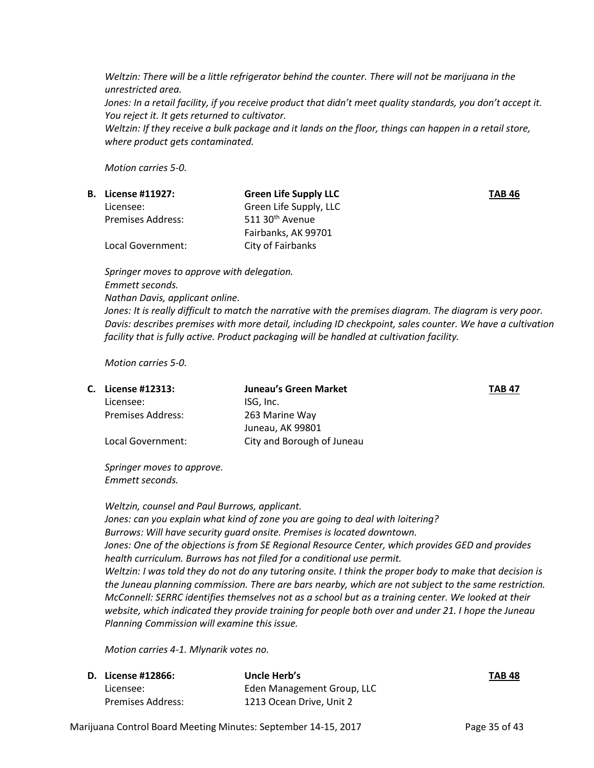*Weltzin: There will be a little refrigerator behind the counter. There will not be marijuana in the unrestricted area.* 

Jones: In a retail facility, if you receive product that didn't meet quality standards, you don't accept it. *You reject it. It gets returned to cultivator.* 

*Weltzin: If they receive a bulk package and it lands on the floor, things can happen in a retail store, where product gets contaminated.* 

*Motion carries 5-0.*

| <b>B.</b> License #11927: | <b>Green Life Supply LLC</b> | <b>TAB 46</b> |
|---------------------------|------------------------------|---------------|
| Licensee:                 | Green Life Supply, LLC       |               |
| <b>Premises Address:</b>  | 511 30 <sup>th</sup> Avenue  |               |
|                           | Fairbanks, AK 99701          |               |
| Local Government:         | City of Fairbanks            |               |
|                           |                              |               |

*Springer moves to approve with delegation. Emmett seconds. Nathan Davis, applicant online.*

*Jones: It is really difficult to match the narrative with the premises diagram. The diagram is very poor. Davis: describes premises with more detail, including ID checkpoint, sales counter. We have a cultivation facility that is fully active. Product packaging will be handled at cultivation facility.* 

*Motion carries 5-0.*

| C. License #12313:       | Juneau's Green Market      | <b>TAB 47</b> |
|--------------------------|----------------------------|---------------|
| Licensee:                | ISG, Inc.                  |               |
| <b>Premises Address:</b> | 263 Marine Way             |               |
|                          | Juneau, AK 99801           |               |
| Local Government:        | City and Borough of Juneau |               |

*Springer moves to approve. Emmett seconds.*

*Weltzin, counsel and Paul Burrows, applicant. Jones: can you explain what kind of zone you are going to deal with loitering? Burrows: Will have security guard onsite. Premises is located downtown. Jones: One of the objections is from SE Regional Resource Center, which provides GED and provides health curriculum. Burrows has not filed for a conditional use permit. Weltzin: I was told they do not do any tutoring onsite. I think the proper body to make that decision is the Juneau planning commission. There are bars nearby, which are not subject to the same restriction. McConnell: SERRC identifies themselves not as a school but as a training center. We looked at their website, which indicated they provide training for people both over and under 21. I hope the Juneau Planning Commission will examine this issue.* 

*Motion carries 4-1. Mlynarik votes no.* 

| <b>D.</b> License #12866: | Uncle Herb's               | <b>TAB 48</b> |
|---------------------------|----------------------------|---------------|
| Licensee:                 | Eden Management Group, LLC |               |
| <b>Premises Address:</b>  | 1213 Ocean Drive, Unit 2   |               |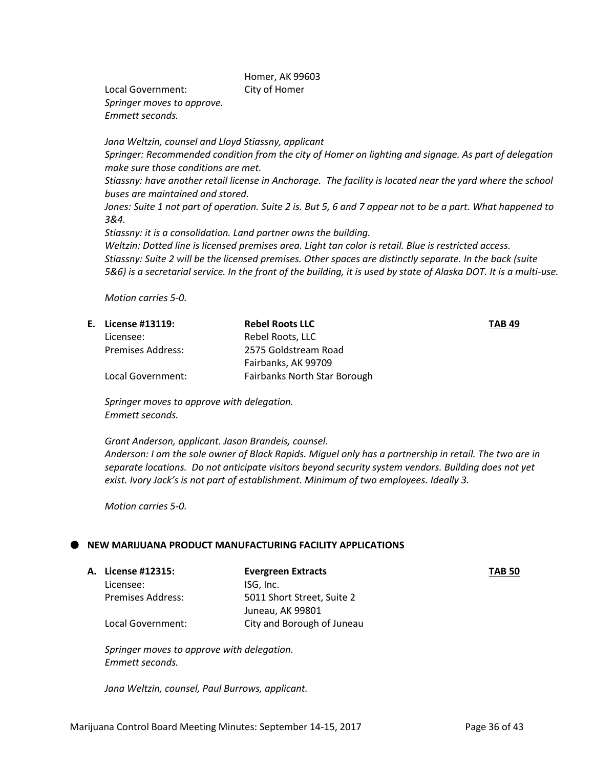Homer, AK 99603

Local Government: City of Homer *Springer moves to approve. Emmett seconds.* 

*Jana Weltzin, counsel and Lloyd Stiassny, applicant Springer: Recommended condition from the city of Homer on lighting and signage. As part of delegation make sure those conditions are met. Stiassny: have another retail license in Anchorage. The facility is located near the yard where the school buses are maintained and stored. Jones: Suite 1 not part of operation. Suite 2 is. But 5, 6 and 7 appear not to be a part. What happened to 3&4. Stiassny: it is a consolidation. Land partner owns the building. Weltzin: Dotted line is licensed premises area. Light tan color is retail. Blue is restricted access. Stiassny: Suite 2 will be the licensed premises. Other spaces are distinctly separate. In the back (suite 5&6) is a secretarial service. In the front of the building, it is used by state of Alaska DOT. It is a multi-use.* 

*Motion carries 5-0.*

| E. License #13119:       | <b>Rebel Roots LLC</b>       | <b>TAB 49</b> |
|--------------------------|------------------------------|---------------|
| Licensee:                | Rebel Roots, LLC             |               |
| <b>Premises Address:</b> | 2575 Goldstream Road         |               |
|                          | Fairbanks, AK 99709          |               |
| Local Government:        | Fairbanks North Star Borough |               |

*Springer moves to approve with delegation. Emmett seconds.*

*Grant Anderson, applicant. Jason Brandeis, counsel.*

*Anderson: I am the sole owner of Black Rapids. Miguel only has a partnership in retail. The two are in separate locations. Do not anticipate visitors beyond security system vendors. Building does not yet exist. Ivory Jack's is not part of establishment. Minimum of two employees. Ideally 3.* 

*Motion carries 5-0.*

#### **NEW MARIJUANA PRODUCT MANUFACTURING FACILITY APPLICATIONS**

|                          | <b>Evergreen Extracts</b>  | <b>TAB 50</b> |
|--------------------------|----------------------------|---------------|
| Licensee:                | ISG. Inc.                  |               |
| <b>Premises Address:</b> | 5011 Short Street, Suite 2 |               |
|                          | Juneau, AK 99801           |               |
| Local Government:        | City and Borough of Juneau |               |
|                          | <b>A. License #12315:</b>  |               |

*Springer moves to approve with delegation. Emmett seconds.* 

*Jana Weltzin, counsel, Paul Burrows, applicant.*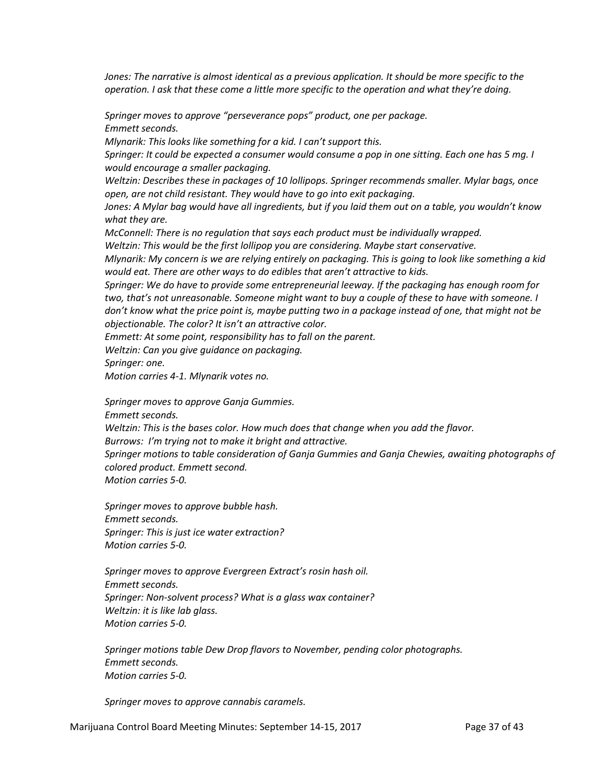*Jones: The narrative is almost identical as a previous application. It should be more specific to the operation. I ask that these come a little more specific to the operation and what they're doing.* 

*Springer moves to approve "perseverance pops" product, one per package. Emmett seconds.*

*Mlynarik: This looks like something for a kid. I can't support this.* 

*Springer: It could be expected a consumer would consume a pop in one sitting. Each one has 5 mg. I would encourage a smaller packaging.*

*Weltzin: Describes these in packages of 10 lollipops. Springer recommends smaller. Mylar bags, once open, are not child resistant. They would have to go into exit packaging.* 

*Jones: A Mylar bag would have all ingredients, but if you laid them out on a table, you wouldn't know what they are.* 

*McConnell: There is no regulation that says each product must be individually wrapped.*

*Weltzin: This would be the first lollipop you are considering. Maybe start conservative.*

*Mlynarik: My concern is we are relying entirely on packaging. This is going to look like something a kid would eat. There are other ways to do edibles that aren't attractive to kids.* 

*Springer: We do have to provide some entrepreneurial leeway. If the packaging has enough room for two, that's not unreasonable. Someone might want to buy a couple of these to have with someone. I don't know what the price point is, maybe putting two in a package instead of one, that might not be objectionable. The color? It isn't an attractive color.* 

*Emmett: At some point, responsibility has to fall on the parent.* 

*Weltzin: Can you give guidance on packaging.*

*Springer: one.* 

*Motion carries 4-1. Mlynarik votes no.*

*Springer moves to approve Ganja Gummies.* 

*Emmett seconds.* 

*Weltzin: This is the bases color. How much does that change when you add the flavor.* 

*Burrows: I'm trying not to make it bright and attractive.* 

*Springer motions to table consideration of Ganja Gummies and Ganja Chewies, awaiting photographs of colored product. Emmett second. Motion carries 5-0.* 

*Springer moves to approve bubble hash. Emmett seconds. Springer: This is just ice water extraction? Motion carries 5-0.*

*Springer moves to approve Evergreen Extract's rosin hash oil. Emmett seconds. Springer: Non-solvent process? What is a glass wax container? Weltzin: it is like lab glass. Motion carries 5-0.*

*Springer motions table Dew Drop flavors to November, pending color photographs. Emmett seconds. Motion carries 5-0.*

*Springer moves to approve cannabis caramels.*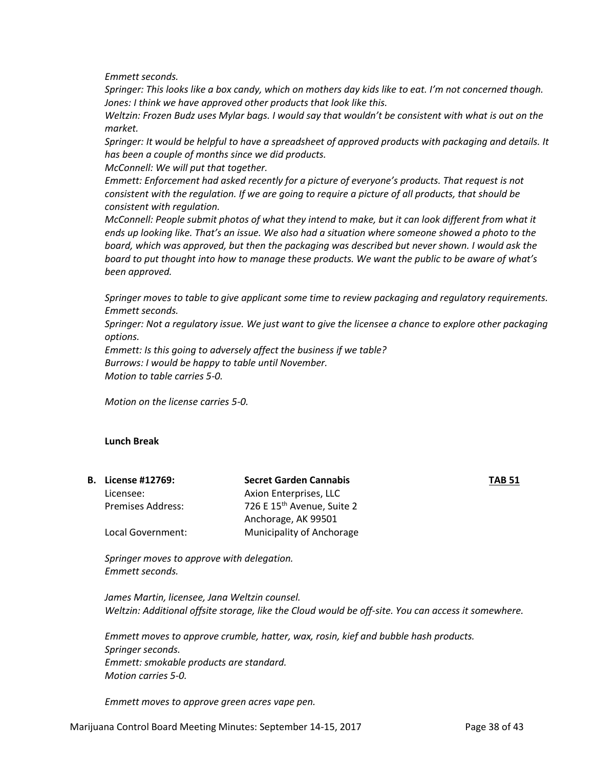*Emmett seconds.*

*Springer: This looks like a box candy, which on mothers day kids like to eat. I'm not concerned though. Jones: I think we have approved other products that look like this.* 

*Weltzin: Frozen Budz uses Mylar bags. I would say that wouldn't be consistent with what is out on the market.* 

*Springer: It would be helpful to have a spreadsheet of approved products with packaging and details. It has been a couple of months since we did products.* 

*McConnell: We will put that together.* 

*Emmett: Enforcement had asked recently for a picture of everyone's products. That request is not consistent with the regulation. If we are going to require a picture of all products, that should be consistent with regulation.* 

*McConnell: People submit photos of what they intend to make, but it can look different from what it ends up looking like. That's an issue. We also had a situation where someone showed a photo to the board, which was approved, but then the packaging was described but never shown. I would ask the board to put thought into how to manage these products. We want the public to be aware of what's been approved.* 

*Springer moves to table to give applicant some time to review packaging and regulatory requirements. Emmett seconds.* 

*Springer: Not a regulatory issue. We just want to give the licensee a chance to explore other packaging options.* 

*Emmett: Is this going to adversely affect the business if we table? Burrows: I would be happy to table until November. Motion to table carries 5-0.*

*Motion on the license carries 5-0.*

#### **Lunch Break**

|                          | <b>Secret Garden Cannabis</b>          | <b>TAB 51</b> |
|--------------------------|----------------------------------------|---------------|
| Licensee:                | Axion Enterprises, LLC                 |               |
| <b>Premises Address:</b> | 726 E 15 <sup>th</sup> Avenue, Suite 2 |               |
|                          | Anchorage, AK 99501                    |               |
| Local Government:        | <b>Municipality of Anchorage</b>       |               |
|                          | <b>B.</b> License #12769:              |               |

*Springer moves to approve with delegation. Emmett seconds.* 

*James Martin, licensee, Jana Weltzin counsel. Weltzin: Additional offsite storage, like the Cloud would be off-site. You can access it somewhere.* 

*Emmett moves to approve crumble, hatter, wax, rosin, kief and bubble hash products. Springer seconds. Emmett: smokable products are standard. Motion carries 5-0.*

*Emmett moves to approve green acres vape pen.*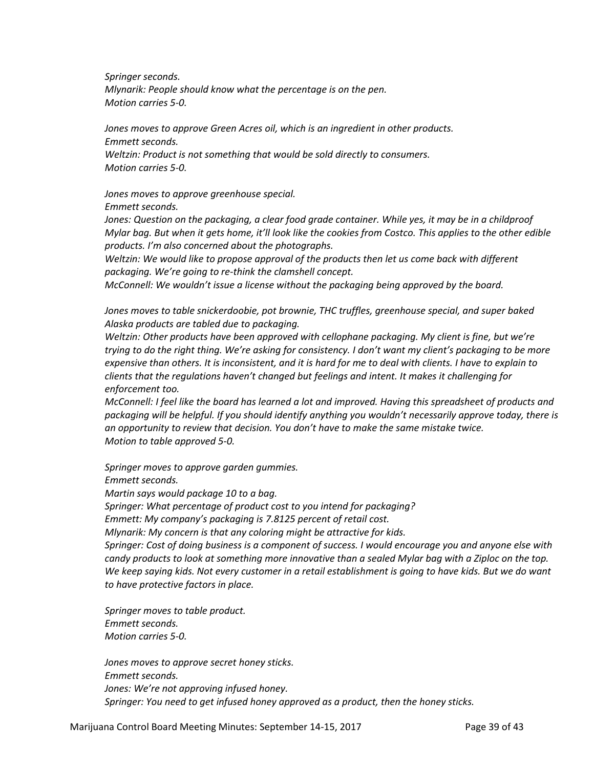*Springer seconds. Mlynarik: People should know what the percentage is on the pen. Motion carries 5-0.*

*Jones moves to approve Green Acres oil, which is an ingredient in other products. Emmett seconds. Weltzin: Product is not something that would be sold directly to consumers. Motion carries 5-0.*

*Jones moves to approve greenhouse special.* 

*Emmett seconds.* 

Jones: Question on the packaging, a clear food grade container. While yes, it may be in a childproof *Mylar bag. But when it gets home, it'll look like the cookies from Costco. This applies to the other edible products. I'm also concerned about the photographs.* 

*Weltzin: We would like to propose approval of the products then let us come back with different packaging. We're going to re-think the clamshell concept.* 

*McConnell: We wouldn't issue a license without the packaging being approved by the board.* 

*Jones moves to table snickerdoobie, pot brownie, THC truffles, greenhouse special, and super baked Alaska products are tabled due to packaging.* 

*Weltzin: Other products have been approved with cellophane packaging. My client is fine, but we're trying to do the right thing. We're asking for consistency. I don't want my client's packaging to be more expensive than others. It is inconsistent, and it is hard for me to deal with clients. I have to explain to clients that the regulations haven't changed but feelings and intent. It makes it challenging for enforcement too.*

*McConnell: I feel like the board has learned a lot and improved. Having this spreadsheet of products and packaging will be helpful. If you should identify anything you wouldn't necessarily approve today, there is an opportunity to review that decision. You don't have to make the same mistake twice. Motion to table approved 5-0.* 

*Springer moves to approve garden gummies.* 

*Emmett seconds.*

*Martin says would package 10 to a bag.*

*Springer: What percentage of product cost to you intend for packaging?* 

*Emmett: My company's packaging is 7.8125 percent of retail cost.* 

*Mlynarik: My concern is that any coloring might be attractive for kids.* 

*Springer: Cost of doing business is a component of success. I would encourage you and anyone else with candy products to look at something more innovative than a sealed Mylar bag with a Ziploc on the top. We keep saying kids. Not every customer in a retail establishment is going to have kids. But we do want to have protective factors in place.* 

*Springer moves to table product. Emmett seconds. Motion carries 5-0.*

*Jones moves to approve secret honey sticks. Emmett seconds. Jones: We're not approving infused honey. Springer: You need to get infused honey approved as a product, then the honey sticks.*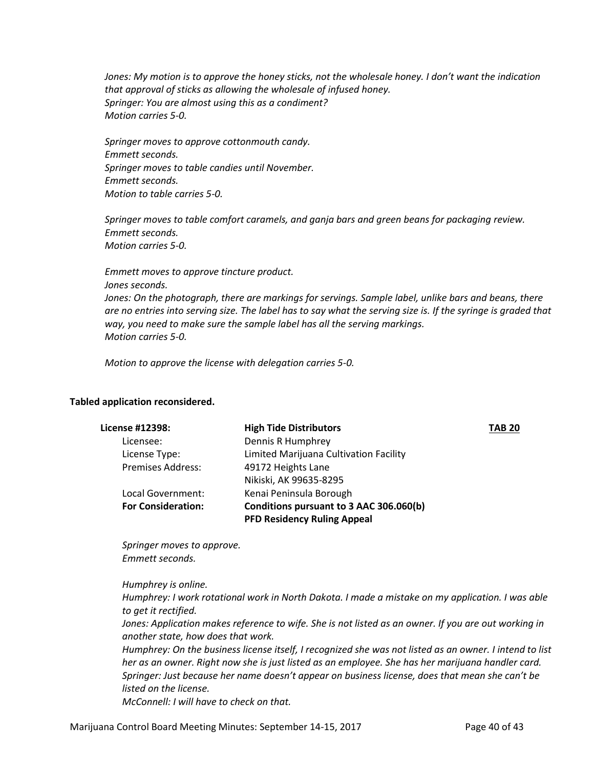*Jones: My motion is to approve the honey sticks, not the wholesale honey. I don't want the indication that approval of sticks as allowing the wholesale of infused honey. Springer: You are almost using this as a condiment? Motion carries 5-0.*

*Springer moves to approve cottonmouth candy. Emmett seconds. Springer moves to table candies until November. Emmett seconds. Motion to table carries 5-0.*

*Springer moves to table comfort caramels, and ganja bars and green beans for packaging review. Emmett seconds. Motion carries 5-0.*

*Emmett moves to approve tincture product. Jones seconds. Jones: On the photograph, there are markings for servings. Sample label, unlike bars and beans, there are no entries into serving size. The label has to say what the serving size is. If the syringe is graded that way, you need to make sure the sample label has all the serving markings. Motion carries 5-0.*

*Motion to approve the license with delegation carries 5-0.*

#### **Tabled application reconsidered.**

| License #12398:           | <b>High Tide Distributors</b>           | <b>TAB 20</b> |
|---------------------------|-----------------------------------------|---------------|
| Licensee:                 | Dennis R Humphrey                       |               |
| License Type:             | Limited Marijuana Cultivation Facility  |               |
| <b>Premises Address:</b>  | 49172 Heights Lane                      |               |
|                           | Nikiski, AK 99635-8295                  |               |
| Local Government:         | Kenai Peninsula Borough                 |               |
| <b>For Consideration:</b> | Conditions pursuant to 3 AAC 306.060(b) |               |
|                           | <b>PFD Residency Ruling Appeal</b>      |               |

*Springer moves to approve. Emmett seconds.*

*Humphrey is online.*

*Humphrey: I work rotational work in North Dakota. I made a mistake on my application. I was able to get it rectified.* 

*Jones: Application makes reference to wife. She is not listed as an owner. If you are out working in another state, how does that work.*

*Humphrey: On the business license itself, I recognized she was not listed as an owner. I intend to list her as an owner. Right now she is just listed as an employee. She has her marijuana handler card. Springer: Just because her name doesn't appear on business license, does that mean she can't be listed on the license.* 

*McConnell: I will have to check on that.*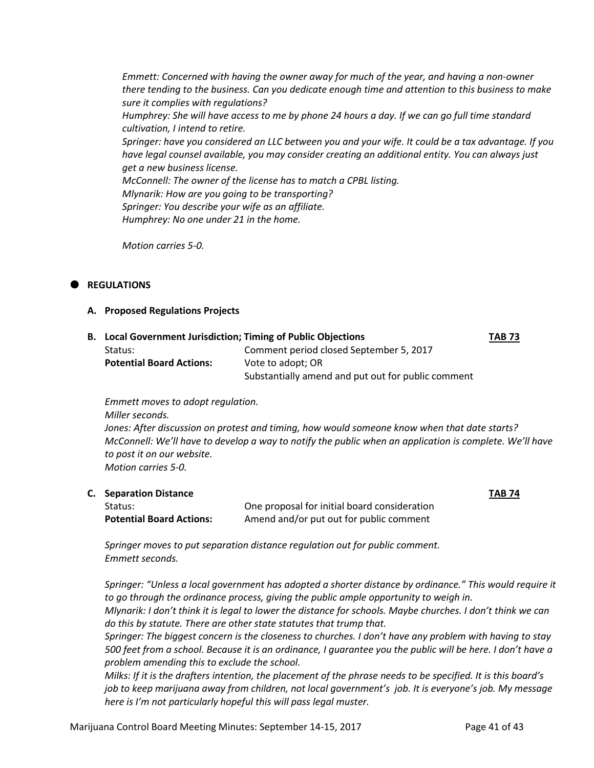*Emmett: Concerned with having the owner away for much of the year, and having a non-owner there tending to the business. Can you dedicate enough time and attention to this business to make sure it complies with regulations? Humphrey: She will have access to me by phone 24 hours a day. If we can go full time standard cultivation, I intend to retire. Springer: have you considered an LLC between you and your wife. It could be a tax advantage. If you have legal counsel available, you may consider creating an additional entity. You can always just get a new business license. McConnell: The owner of the license has to match a CPBL listing. Mlynarik: How are you going to be transporting? Springer: You describe your wife as an affiliate. Humphrey: No one under 21 in the home.* 

*Motion carries 5-0.*

# **REGULATIONS**

## **A. Proposed Regulations Projects**

| <b>B.</b> Local Government Jurisdiction; Timing of Public Objections |                                                    | <b>TAB 73</b> |
|----------------------------------------------------------------------|----------------------------------------------------|---------------|
| Status:                                                              | Comment period closed September 5, 2017            |               |
| <b>Potential Board Actions:</b>                                      | Vote to adopt; OR                                  |               |
|                                                                      | Substantially amend and put out for public comment |               |

*Emmett moves to adopt regulation. Miller seconds.*

*Jones: After discussion on protest and timing, how would someone know when that date starts? McConnell: We'll have to develop a way to notify the public when an application is complete. We'll have to post it on our website. Motion carries 5-0.*

| <b>C.</b> Separation Distance   |                                              | <b>TAB 74</b> |
|---------------------------------|----------------------------------------------|---------------|
| Status:                         | One proposal for initial board consideration |               |
| <b>Potential Board Actions:</b> | Amend and/or put out for public comment      |               |

*Springer moves to put separation distance regulation out for public comment. Emmett seconds.*

*Springer: "Unless a local government has adopted a shorter distance by ordinance." This would require it to go through the ordinance process, giving the public ample opportunity to weigh in. Mlynarik: I don't think it is legal to lower the distance for schools. Maybe churches. I don't think we can do this by statute. There are other state statutes that trump that. Springer: The biggest concern is the closeness to churches. I don't have any problem with having to stay 500 feet from a school. Because it is an ordinance, I guarantee you the public will be here. I don't have a problem amending this to exclude the school.* 

*Milks: If it is the drafters intention, the placement of the phrase needs to be specified. It is this board's job to keep marijuana away from children, not local government's job. It is everyone's job. My message here is I'm not particularly hopeful this will pass legal muster.*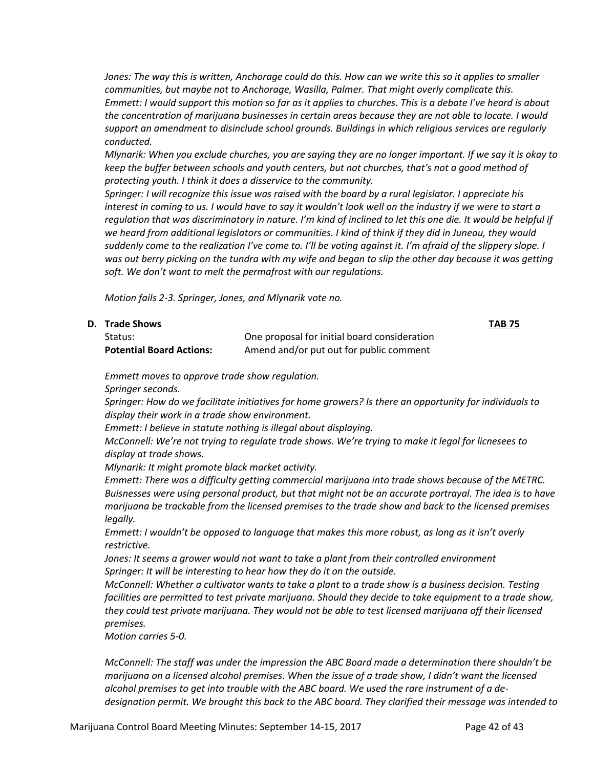*Jones: The way this is written, Anchorage could do this. How can we write this so it applies to smaller communities, but maybe not to Anchorage, Wasilla, Palmer. That might overly complicate this. Emmett: I would support this motion so far as it applies to churches. This is a debate I've heard is about the concentration of marijuana businesses in certain areas because they are not able to locate. I would support an amendment to disinclude school grounds. Buildings in which religious services are regularly conducted.* 

*Mlynarik: When you exclude churches, you are saying they are no longer important. If we say it is okay to keep the buffer between schools and youth centers, but not churches, that's not a good method of protecting youth. I think it does a disservice to the community.* 

*Springer: I will recognize this issue was raised with the board by a rural legislator. I appreciate his interest in coming to us. I would have to say it wouldn't look well on the industry if we were to start a*  regulation that was discriminatory in nature. I'm kind of inclined to let this one die. It would be helpful if *we heard from additional legislators or communities. I kind of think if they did in Juneau, they would suddenly come to the realization I've come to. I'll be voting against it. I'm afraid of the slippery slope. I was out berry picking on the tundra with my wife and began to slip the other day because it was getting soft. We don't want to melt the permafrost with our regulations.*

*Motion fails 2-3. Springer, Jones, and Mlynarik vote no.*

| D. Trade Shows                  |                                              | <b>TAB 75</b> |
|---------------------------------|----------------------------------------------|---------------|
| Status:                         | One proposal for initial board consideration |               |
| <b>Potential Board Actions:</b> | Amend and/or put out for public comment      |               |

*Emmett moves to approve trade show regulation.* 

*Springer seconds.* 

*Springer: How do we facilitate initiatives for home growers? Is there an opportunity for individuals to display their work in a trade show environment.*

*Emmett: I believe in statute nothing is illegal about displaying.* 

*McConnell: We're not trying to regulate trade shows. We're trying to make it legal for licnesees to display at trade shows.* 

*Mlynarik: It might promote black market activity.* 

*Emmett: There was a difficulty getting commercial marijuana into trade shows because of the METRC. Buisnesses were using personal product, but that might not be an accurate portrayal. The idea is to have marijuana be trackable from the licensed premises to the trade show and back to the licensed premises legally.* 

*Emmett: I wouldn't be opposed to language that makes this more robust, as long as it isn't overly restrictive.* 

*Jones: It seems a grower would not want to take a plant from their controlled environment Springer: It will be interesting to hear how they do it on the outside.* 

*McConnell: Whether a cultivator wants to take a plant to a trade show is a business decision. Testing facilities are permitted to test private marijuana. Should they decide to take equipment to a trade show, they could test private marijuana. They would not be able to test licensed marijuana off their licensed premises.* 

*Motion carries 5-0.* 

*McConnell: The staff was under the impression the ABC Board made a determination there shouldn't be marijuana on a licensed alcohol premises. When the issue of a trade show, I didn't want the licensed alcohol premises to get into trouble with the ABC board. We used the rare instrument of a dedesignation permit. We brought this back to the ABC board. They clarified their message was intended to*